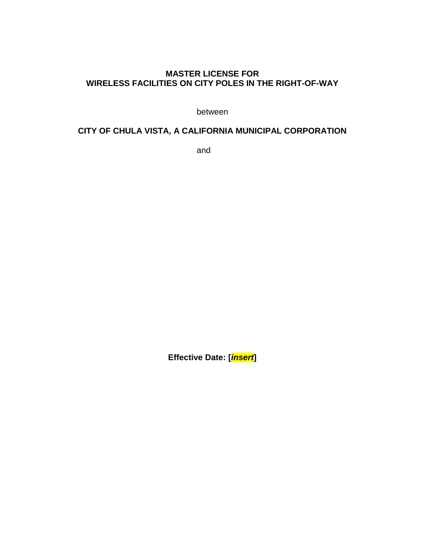#### **MASTER LICENSE FOR WIRELESS FACILITIES ON CITY POLES IN THE RIGHT-OF-WAY**

between

## **CITY OF CHULA VISTA, A CALIFORNIA MUNICIPAL CORPORATION**

and

**Effective Date: [***insert***]**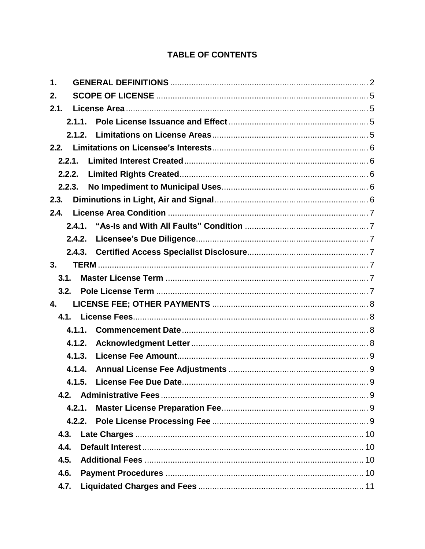## **TABLE OF CONTENTS**

| 1.     |        |  |  |  |  |
|--------|--------|--|--|--|--|
| 2.     |        |  |  |  |  |
| 2.1.   |        |  |  |  |  |
|        | 2.1.1. |  |  |  |  |
|        | 2.1.2. |  |  |  |  |
|        |        |  |  |  |  |
| 2.2.1. |        |  |  |  |  |
| 2.2.2. |        |  |  |  |  |
| 2.2.3. |        |  |  |  |  |
| 2.3.   |        |  |  |  |  |
| 2.4.   |        |  |  |  |  |
|        | 2.4.1. |  |  |  |  |
|        | 2.4.2. |  |  |  |  |
|        |        |  |  |  |  |
| 3.     |        |  |  |  |  |
| 3.1.   |        |  |  |  |  |
| 3.2.   |        |  |  |  |  |
| 4.     |        |  |  |  |  |
|        |        |  |  |  |  |
|        | 4.1.1. |  |  |  |  |
|        | 4.1.2. |  |  |  |  |
|        | 4.1.3. |  |  |  |  |
|        | 4.1.4. |  |  |  |  |
|        | 4.1.5. |  |  |  |  |
|        |        |  |  |  |  |
|        | 4.2.1. |  |  |  |  |
|        | 4.2.2. |  |  |  |  |
| 4.3.   |        |  |  |  |  |
| 4.4.   |        |  |  |  |  |
| 4.5.   |        |  |  |  |  |
| 4.6.   |        |  |  |  |  |
|        |        |  |  |  |  |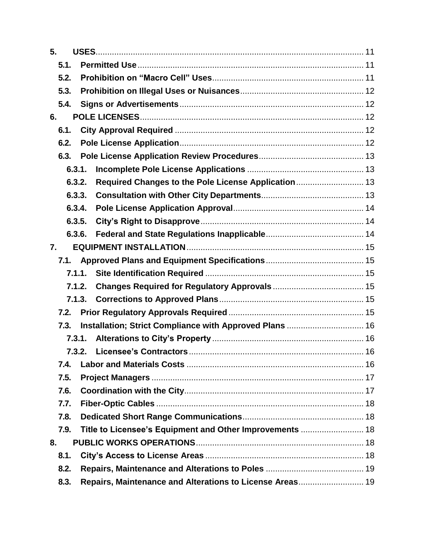| 5.   |        |                                                          |  |
|------|--------|----------------------------------------------------------|--|
| 5.1. |        |                                                          |  |
| 5.2. |        |                                                          |  |
| 5.3. |        |                                                          |  |
| 5.4. |        |                                                          |  |
| 6.   |        |                                                          |  |
| 6.1. |        |                                                          |  |
| 6.2. |        |                                                          |  |
| 6.3. |        |                                                          |  |
|      | 6.3.1. |                                                          |  |
|      | 6.3.2. | Required Changes to the Pole License Application 13      |  |
|      | 6.3.3. |                                                          |  |
|      | 6.3.4. |                                                          |  |
|      | 6.3.5. |                                                          |  |
|      | 6.3.6. |                                                          |  |
| 7.   |        |                                                          |  |
|      |        |                                                          |  |
|      |        |                                                          |  |
|      | 7.1.2. |                                                          |  |
|      |        |                                                          |  |
| 7.2. |        |                                                          |  |
| 7.3. |        | Installation; Strict Compliance with Approved Plans  16  |  |
|      | 7.3.1. |                                                          |  |
|      | 7.3.2. |                                                          |  |
| 7.4. |        |                                                          |  |
| 7.5. |        |                                                          |  |
| 7.6. |        |                                                          |  |
| 7.7. |        |                                                          |  |
| 7.8. |        |                                                          |  |
| 7.9. |        | Title to Licensee's Equipment and Other Improvements  18 |  |
| 8.   |        |                                                          |  |
| 8.1. |        |                                                          |  |
| 8.2. |        |                                                          |  |
| 8.3. |        | Repairs, Maintenance and Alterations to License Areas 19 |  |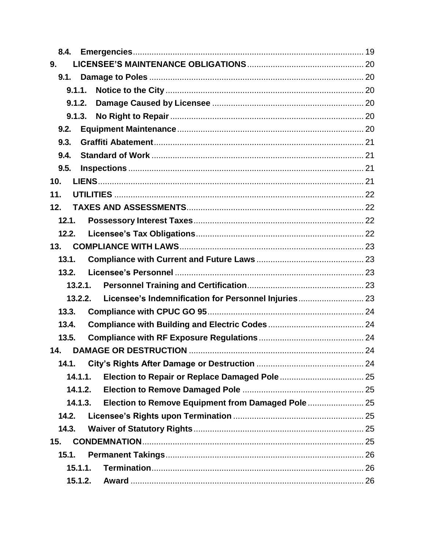| 9.      |                                                      |  |  |  |
|---------|------------------------------------------------------|--|--|--|
|         |                                                      |  |  |  |
| 9.1.1.  |                                                      |  |  |  |
| 9.1.2.  |                                                      |  |  |  |
| 9.1.3.  |                                                      |  |  |  |
| 9.2.    |                                                      |  |  |  |
| 9.3.    |                                                      |  |  |  |
| 9.4.    |                                                      |  |  |  |
| 9.5.    |                                                      |  |  |  |
| 10.     |                                                      |  |  |  |
| 11.     |                                                      |  |  |  |
| 12.     |                                                      |  |  |  |
| 12.1.   |                                                      |  |  |  |
| 12.2.   |                                                      |  |  |  |
| 13.     |                                                      |  |  |  |
| 13.1.   |                                                      |  |  |  |
| 13.2.   |                                                      |  |  |  |
| 13.2.1. |                                                      |  |  |  |
| 13.2.2. | Licensee's Indemnification for Personnel Injuries 23 |  |  |  |
| 13.3.   |                                                      |  |  |  |
| 13.4.   |                                                      |  |  |  |
| 13.5.   |                                                      |  |  |  |
| 14.     |                                                      |  |  |  |
| 14.1.   |                                                      |  |  |  |
| 14.1.1. |                                                      |  |  |  |
| 14.1.2. |                                                      |  |  |  |
| 14.1.3. |                                                      |  |  |  |
| 14.2.   |                                                      |  |  |  |
| 14.3.   |                                                      |  |  |  |
| 15.     |                                                      |  |  |  |
| 15.1.   |                                                      |  |  |  |
|         | 15.1.1.                                              |  |  |  |
| 15.1.2. |                                                      |  |  |  |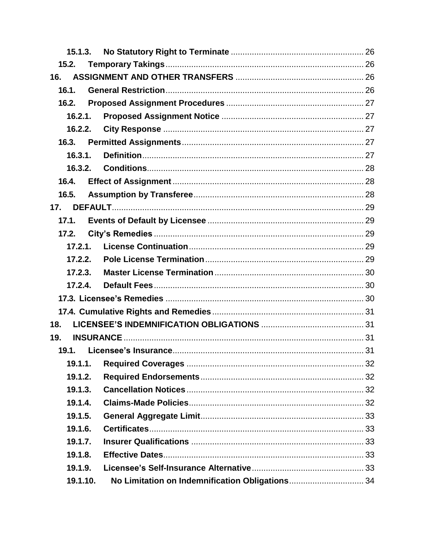| 15.1.3.  |                                                 |  |
|----------|-------------------------------------------------|--|
| 15.2.    |                                                 |  |
| 16.      |                                                 |  |
| 16.1.    |                                                 |  |
| 16.2.    |                                                 |  |
| 16.2.1.  |                                                 |  |
| 16.2.2.  |                                                 |  |
| 16.3.    |                                                 |  |
| 16.3.1.  |                                                 |  |
| 16.3.2.  |                                                 |  |
| 16.4.    |                                                 |  |
| 16.5.    |                                                 |  |
| 17.      |                                                 |  |
| 17.1.    |                                                 |  |
| 17.2.    |                                                 |  |
| 17.2.1.  |                                                 |  |
| 17.2.2.  |                                                 |  |
| 17.2.3.  |                                                 |  |
| 17.2.4.  |                                                 |  |
|          |                                                 |  |
|          |                                                 |  |
| 18.      |                                                 |  |
| 19.      |                                                 |  |
| 19.1.    |                                                 |  |
| 19.1.1.  |                                                 |  |
| 19.1.2.  |                                                 |  |
| 19.1.3.  |                                                 |  |
| 19.1.4.  |                                                 |  |
| 19.1.5.  |                                                 |  |
| 19.1.6.  |                                                 |  |
| 19.1.7.  |                                                 |  |
| 19.1.8.  |                                                 |  |
| 19.1.9.  |                                                 |  |
| 19.1.10. | No Limitation on Indemnification Obligations 34 |  |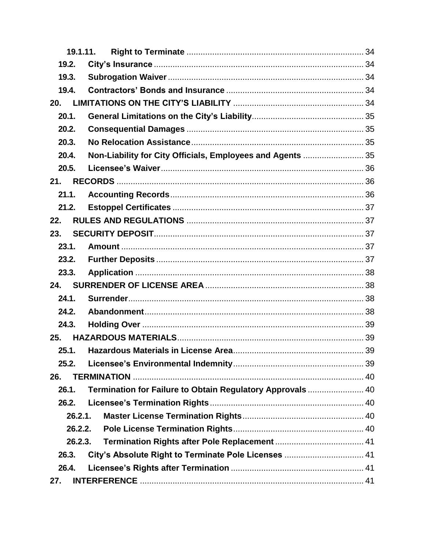|       | 19.1.11. |                                                            |  |
|-------|----------|------------------------------------------------------------|--|
| 19.2. |          |                                                            |  |
| 19.3. |          |                                                            |  |
| 19.4. |          |                                                            |  |
| 20.   |          |                                                            |  |
| 20.1. |          |                                                            |  |
| 20.2. |          |                                                            |  |
| 20.3. |          |                                                            |  |
| 20.4. |          | Non-Liability for City Officials, Employees and Agents  35 |  |
| 20.5. |          |                                                            |  |
| 21.   |          |                                                            |  |
| 21.1. |          |                                                            |  |
| 21.2. |          |                                                            |  |
| 22.   |          |                                                            |  |
| 23.   |          |                                                            |  |
| 23.1. |          |                                                            |  |
| 23.2. |          |                                                            |  |
| 23.3. |          |                                                            |  |
| 24.   |          |                                                            |  |
| 24.1. |          |                                                            |  |
| 24.2. |          |                                                            |  |
| 24.3. |          |                                                            |  |
| 25.   |          |                                                            |  |
| 25.1. |          |                                                            |  |
| 25.2. |          |                                                            |  |
| 26.   |          |                                                            |  |
| 26.1. |          | Termination for Failure to Obtain Regulatory Approvals  40 |  |
| 26.2. |          |                                                            |  |
|       | 26.2.1.  |                                                            |  |
|       | 26.2.2.  |                                                            |  |
|       | 26.2.3.  |                                                            |  |
| 26.3. |          |                                                            |  |
| 26.4. |          |                                                            |  |
| 27.   |          |                                                            |  |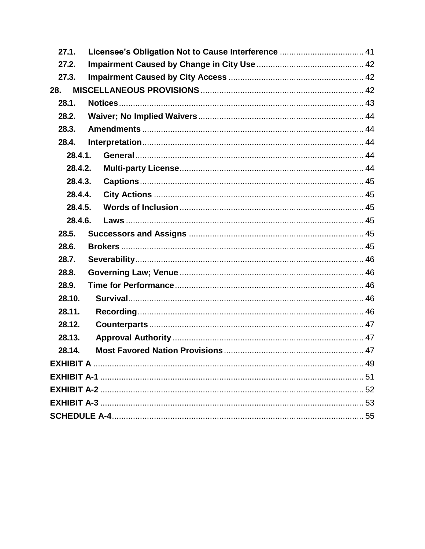| 27.1.   |  |  |  |
|---------|--|--|--|
| 27.2.   |  |  |  |
| 27.3.   |  |  |  |
| 28.     |  |  |  |
| 28.1.   |  |  |  |
| 28.2.   |  |  |  |
| 28.3.   |  |  |  |
| 28.4.   |  |  |  |
| 28.4.1. |  |  |  |
| 28.4.2. |  |  |  |
| 28.4.3. |  |  |  |
| 28.4.4. |  |  |  |
| 28.4.5. |  |  |  |
| 28.4.6. |  |  |  |
| 28.5.   |  |  |  |
| 28.6.   |  |  |  |
| 28.7.   |  |  |  |
| 28.8.   |  |  |  |
| 28.9.   |  |  |  |
| 28.10.  |  |  |  |
| 28.11.  |  |  |  |
| 28.12.  |  |  |  |
| 28.13.  |  |  |  |
| 28.14.  |  |  |  |
|         |  |  |  |
|         |  |  |  |
|         |  |  |  |
|         |  |  |  |
|         |  |  |  |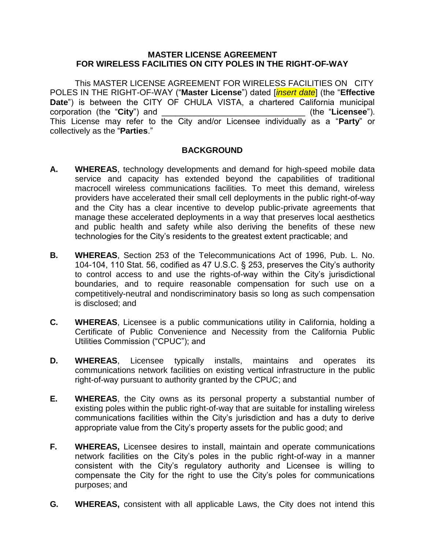#### **MASTER LICENSE AGREEMENT FOR WIRELESS FACILITIES ON CITY POLES IN THE RIGHT-OF-WAY**

This MASTER LICENSE AGREEMENT FOR WIRELESS FACILITIES ON CITY POLES IN THE RIGHT-OF-WAY ("**Master License**") dated [*insert date*] (the "**Effective Date**") is between the CITY OF CHULA VISTA, a chartered California municipal corporation (the "**City**") and \_\_\_\_\_\_\_\_\_\_\_\_\_\_\_\_\_\_\_\_\_\_\_\_\_\_\_\_\_\_\_ (the "**Licensee**"). This License may refer to the City and/or Licensee individually as a "**Party**" or collectively as the "**Parties**."

#### **BACKGROUND**

- **A. WHEREAS**, technology developments and demand for high-speed mobile data service and capacity has extended beyond the capabilities of traditional macrocell wireless communications facilities. To meet this demand, wireless providers have accelerated their small cell deployments in the public right-of-way and the City has a clear incentive to develop public-private agreements that manage these accelerated deployments in a way that preserves local aesthetics and public health and safety while also deriving the benefits of these new technologies for the City's residents to the greatest extent practicable; and
- **B. WHEREAS**, Section 253 of the Telecommunications Act of 1996, Pub. L. No. 104-104, 110 Stat. 56, codified as 47 U.S.C. § 253, preserves the City's authority to control access to and use the rights-of-way within the City's jurisdictional boundaries, and to require reasonable compensation for such use on a competitively-neutral and nondiscriminatory basis so long as such compensation is disclosed; and
- **C. WHEREAS**, Licensee is a public communications utility in California, holding a Certificate of Public Convenience and Necessity from the California Public Utilities Commission ("CPUC"); and
- **D. WHEREAS**, Licensee typically installs, maintains and operates its communications network facilities on existing vertical infrastructure in the public right-of-way pursuant to authority granted by the CPUC; and
- **E. WHEREAS**, the City owns as its personal property a substantial number of existing poles within the public right-of-way that are suitable for installing wireless communications facilities within the City's jurisdiction and has a duty to derive appropriate value from the City's property assets for the public good; and
- **F. WHEREAS,** Licensee desires to install, maintain and operate communications network facilities on the City's poles in the public right-of-way in a manner consistent with the City's regulatory authority and Licensee is willing to compensate the City for the right to use the City's poles for communications purposes; and
- **G. WHEREAS,** consistent with all applicable Laws, the City does not intend this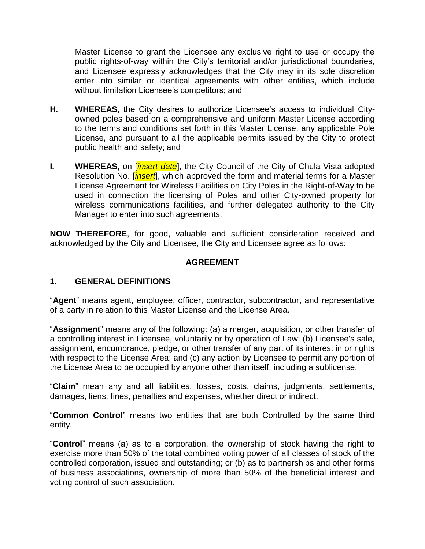Master License to grant the Licensee any exclusive right to use or occupy the public rights-of-way within the City's territorial and/or jurisdictional boundaries, and Licensee expressly acknowledges that the City may in its sole discretion enter into similar or identical agreements with other entities, which include without limitation Licensee's competitors; and

- **H. WHEREAS,** the City desires to authorize Licensee's access to individual Cityowned poles based on a comprehensive and uniform Master License according to the terms and conditions set forth in this Master License, any applicable Pole License, and pursuant to all the applicable permits issued by the City to protect public health and safety; and
- **I. WHEREAS,** on [*insert date*], the City Council of the City of Chula Vista adopted Resolution No. [*insert*], which approved the form and material terms for a Master License Agreement for Wireless Facilities on City Poles in the Right-of-Way to be used in connection the licensing of Poles and other City-owned property for wireless communications facilities, and further delegated authority to the City Manager to enter into such agreements.

**NOW THEREFORE**, for good, valuable and sufficient consideration received and acknowledged by the City and Licensee, the City and Licensee agree as follows:

#### **AGREEMENT**

#### <span id="page-8-0"></span>**1. GENERAL DEFINITIONS**

"**Agent**" means agent, employee, officer, contractor, subcontractor, and representative of a party in relation to this Master License and the License Area.

"**Assignment**" means any of the following: (a) a merger, acquisition, or other transfer of a controlling interest in Licensee, voluntarily or by operation of Law; (b) Licensee's sale, assignment, encumbrance, pledge, or other transfer of any part of its interest in or rights with respect to the License Area; and (c) any action by Licensee to permit any portion of the License Area to be occupied by anyone other than itself, including a sublicense.

"**Claim**" mean any and all liabilities, losses, costs, claims, judgments, settlements, damages, liens, fines, penalties and expenses, whether direct or indirect.

"**Common Control**" means two entities that are both Controlled by the same third entity.

"**Control**" means (a) as to a corporation, the ownership of stock having the right to exercise more than 50% of the total combined voting power of all classes of stock of the controlled corporation, issued and outstanding; or (b) as to partnerships and other forms of business associations, ownership of more than 50% of the beneficial interest and voting control of such association.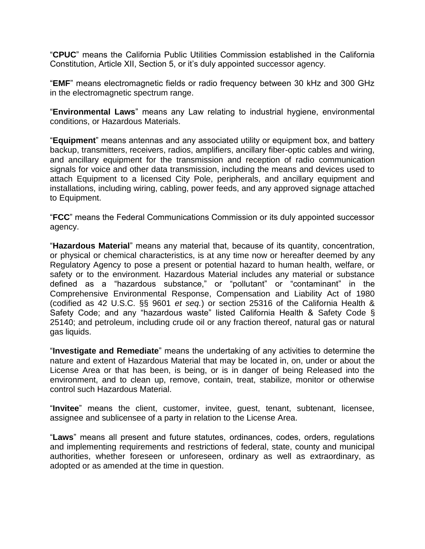"**CPUC**" means the California Public Utilities Commission established in the California Constitution, Article XII, Section 5, or it's duly appointed successor agency.

"**EMF**" means electromagnetic fields or radio frequency between 30 kHz and 300 GHz in the electromagnetic spectrum range.

"**Environmental Laws**" means any Law relating to industrial hygiene, environmental conditions, or Hazardous Materials.

"**Equipment**" means antennas and any associated utility or equipment box, and battery backup, transmitters, receivers, radios, amplifiers, ancillary fiber-optic cables and wiring, and ancillary equipment for the transmission and reception of radio communication signals for voice and other data transmission, including the means and devices used to attach Equipment to a licensed City Pole, peripherals, and ancillary equipment and installations, including wiring, cabling, power feeds, and any approved signage attached to Equipment.

"**FCC**" means the Federal Communications Commission or its duly appointed successor agency.

"**Hazardous Material**" means any material that, because of its quantity, concentration, or physical or chemical characteristics, is at any time now or hereafter deemed by any Regulatory Agency to pose a present or potential hazard to human health, welfare, or safety or to the environment. Hazardous Material includes any material or substance defined as a "hazardous substance," or "pollutant" or "contaminant" in the Comprehensive Environmental Response, Compensation and Liability Act of 1980 (codified as 42 U.S.C. §§ 9601 *et seq.*) or section 25316 of the California Health & Safety Code; and any "hazardous waste" listed California Health & Safety Code § 25140; and petroleum, including crude oil or any fraction thereof, natural gas or natural gas liquids.

"**Investigate and Remediate**" means the undertaking of any activities to determine the nature and extent of Hazardous Material that may be located in, on, under or about the License Area or that has been, is being, or is in danger of being Released into the environment, and to clean up, remove, contain, treat, stabilize, monitor or otherwise control such Hazardous Material.

"**Invitee**" means the client, customer, invitee, guest, tenant, subtenant, licensee, assignee and sublicensee of a party in relation to the License Area.

"**Laws**" means all present and future statutes, ordinances, codes, orders, regulations and implementing requirements and restrictions of federal, state, county and municipal authorities, whether foreseen or unforeseen, ordinary as well as extraordinary, as adopted or as amended at the time in question.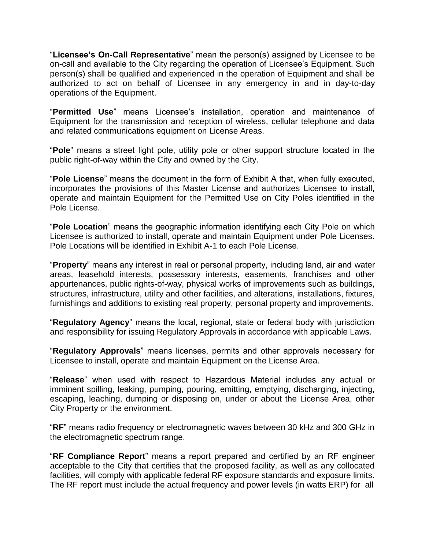"**Licensee's On-Call Representative**" mean the person(s) assigned by Licensee to be on-call and available to the City regarding the operation of Licensee's Equipment. Such person(s) shall be qualified and experienced in the operation of Equipment and shall be authorized to act on behalf of Licensee in any emergency in and in day-to-day operations of the Equipment.

"**Permitted Use**" means Licensee's installation, operation and maintenance of Equipment for the transmission and reception of wireless, cellular telephone and data and related communications equipment on License Areas.

"**Pole**" means a street light pole, utility pole or other support structure located in the public right-of-way within the City and owned by the City.

"**Pole License**" means the document in the form of Exhibit A that, when fully executed, incorporates the provisions of this Master License and authorizes Licensee to install, operate and maintain Equipment for the Permitted Use on City Poles identified in the Pole License.

"**Pole Location**" means the geographic information identifying each City Pole on which Licensee is authorized to install, operate and maintain Equipment under Pole Licenses. Pole Locations will be identified in Exhibit A-1 to each Pole License.

"**Property**" means any interest in real or personal property, including land, air and water areas, leasehold interests, possessory interests, easements, franchises and other appurtenances, public rights-of-way, physical works of improvements such as buildings, structures, infrastructure, utility and other facilities, and alterations, installations, fixtures, furnishings and additions to existing real property, personal property and improvements.

"**Regulatory Agency**" means the local, regional, state or federal body with jurisdiction and responsibility for issuing Regulatory Approvals in accordance with applicable Laws.

"**Regulatory Approvals**" means licenses, permits and other approvals necessary for Licensee to install, operate and maintain Equipment on the License Area.

"**Release**" when used with respect to Hazardous Material includes any actual or imminent spilling, leaking, pumping, pouring, emitting, emptying, discharging, injecting, escaping, leaching, dumping or disposing on, under or about the License Area, other City Property or the environment.

"**RF**" means radio frequency or electromagnetic waves between 30 kHz and 300 GHz in the electromagnetic spectrum range.

"**RF Compliance Report**" means a report prepared and certified by an RF engineer acceptable to the City that certifies that the proposed facility, as well as any collocated facilities, will comply with applicable federal RF exposure standards and exposure limits. The RF report must include the actual frequency and power levels (in watts ERP) for all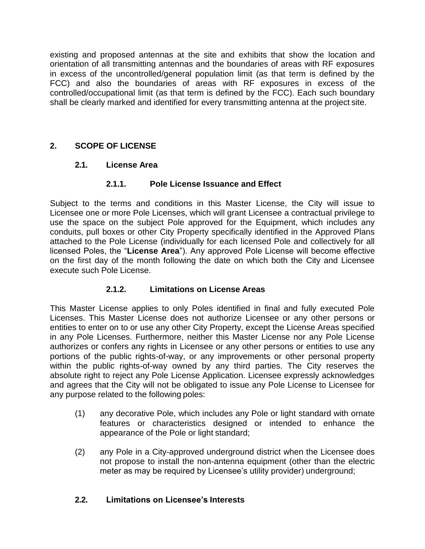existing and proposed antennas at the site and exhibits that show the location and orientation of all transmitting antennas and the boundaries of areas with RF exposures in excess of the uncontrolled/general population limit (as that term is defined by the FCC) and also the boundaries of areas with RF exposures in excess of the controlled/occupational limit (as that term is defined by the FCC). Each such boundary shall be clearly marked and identified for every transmitting antenna at the project site.

## <span id="page-11-1"></span><span id="page-11-0"></span>**2. SCOPE OF LICENSE**

#### **2.1. License Area**

#### **2.1.1. Pole License Issuance and Effect**

<span id="page-11-2"></span>Subject to the terms and conditions in this Master License, the City will issue to Licensee one or more Pole Licenses, which will grant Licensee a contractual privilege to use the space on the subject Pole approved for the Equipment, which includes any conduits, pull boxes or other City Property specifically identified in the Approved Plans attached to the Pole License (individually for each licensed Pole and collectively for all licensed Poles, the "**License Area**"). Any approved Pole License will become effective on the first day of the month following the date on which both the City and Licensee execute such Pole License.

#### **2.1.2. Limitations on License Areas**

<span id="page-11-3"></span>This Master License applies to only Poles identified in final and fully executed Pole Licenses. This Master License does not authorize Licensee or any other persons or entities to enter on to or use any other City Property, except the License Areas specified in any Pole Licenses. Furthermore, neither this Master License nor any Pole License authorizes or confers any rights in Licensee or any other persons or entities to use any portions of the public rights-of-way, or any improvements or other personal property within the public rights-of-way owned by any third parties. The City reserves the absolute right to reject any Pole License Application. Licensee expressly acknowledges and agrees that the City will not be obligated to issue any Pole License to Licensee for any purpose related to the following poles:

- (1) any decorative Pole, which includes any Pole or light standard with ornate features or characteristics designed or intended to enhance the appearance of the Pole or light standard;
- (2) any Pole in a City-approved underground district when the Licensee does not propose to install the non-antenna equipment (other than the electric meter as may be required by Licensee's utility provider) underground;

#### <span id="page-11-4"></span>**2.2. Limitations on Licensee's Interests**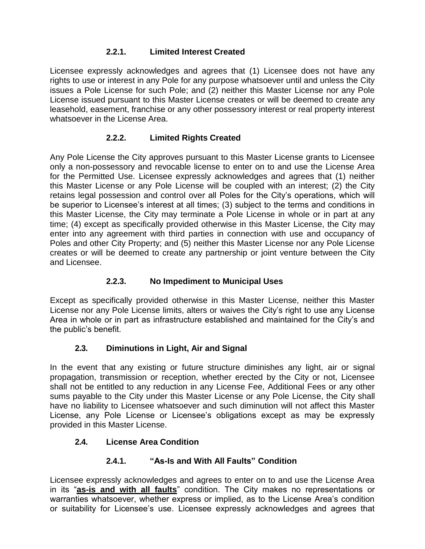## **2.2.1. Limited Interest Created**

<span id="page-12-0"></span>Licensee expressly acknowledges and agrees that (1) Licensee does not have any rights to use or interest in any Pole for any purpose whatsoever until and unless the City issues a Pole License for such Pole; and (2) neither this Master License nor any Pole License issued pursuant to this Master License creates or will be deemed to create any leasehold, easement, franchise or any other possessory interest or real property interest whatsoever in the License Area.

## **2.2.2. Limited Rights Created**

<span id="page-12-1"></span>Any Pole License the City approves pursuant to this Master License grants to Licensee only a non-possessory and revocable license to enter on to and use the License Area for the Permitted Use. Licensee expressly acknowledges and agrees that (1) neither this Master License or any Pole License will be coupled with an interest; (2) the City retains legal possession and control over all Poles for the City's operations, which will be superior to Licensee's interest at all times; (3) subject to the terms and conditions in this Master License, the City may terminate a Pole License in whole or in part at any time; (4) except as specifically provided otherwise in this Master License, the City may enter into any agreement with third parties in connection with use and occupancy of Poles and other City Property; and (5) neither this Master License nor any Pole License creates or will be deemed to create any partnership or joint venture between the City and Licensee.

## **2.2.3. No Impediment to Municipal Uses**

<span id="page-12-2"></span>Except as specifically provided otherwise in this Master License, neither this Master License nor any Pole License limits, alters or waives the City's right to use any License Area in whole or in part as infrastructure established and maintained for the City's and the public's benefit.

## **2.3. Diminutions in Light, Air and Signal**

<span id="page-12-3"></span>In the event that any existing or future structure diminishes any light, air or signal propagation, transmission or reception, whether erected by the City or not, Licensee shall not be entitled to any reduction in any License Fee, Additional Fees or any other sums payable to the City under this Master License or any Pole License, the City shall have no liability to Licensee whatsoever and such diminution will not affect this Master License, any Pole License or Licensee's obligations except as may be expressly provided in this Master License.

## <span id="page-12-4"></span>**2.4. License Area Condition**

## **2.4.1. "As-Is and With All Faults" Condition**

<span id="page-12-5"></span>Licensee expressly acknowledges and agrees to enter on to and use the License Area in its "**as-is and with all faults**" condition. The City makes no representations or warranties whatsoever, whether express or implied, as to the License Area's condition or suitability for Licensee's use. Licensee expressly acknowledges and agrees that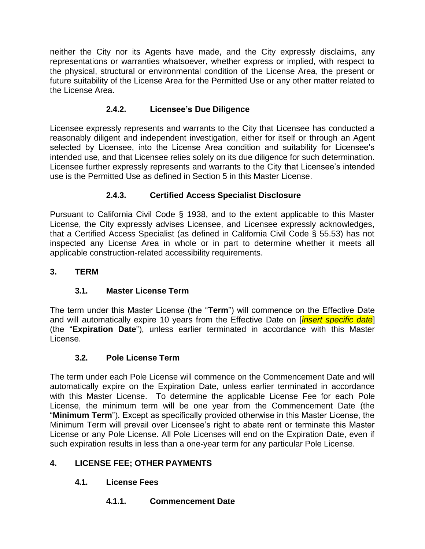neither the City nor its Agents have made, and the City expressly disclaims, any representations or warranties whatsoever, whether express or implied, with respect to the physical, structural or environmental condition of the License Area, the present or future suitability of the License Area for the Permitted Use or any other matter related to the License Area.

## **2.4.2. Licensee's Due Diligence**

<span id="page-13-0"></span>Licensee expressly represents and warrants to the City that Licensee has conducted a reasonably diligent and independent investigation, either for itself or through an Agent selected by Licensee, into the License Area condition and suitability for Licensee's intended use, and that Licensee relies solely on its due diligence for such determination. Licensee further expressly represents and warrants to the City that Licensee's intended use is the Permitted Use as defined in Section 5 in this Master License.

## **2.4.3. Certified Access Specialist Disclosure**

<span id="page-13-1"></span>Pursuant to California Civil Code § 1938, and to the extent applicable to this Master License, the City expressly advises Licensee, and Licensee expressly acknowledges, that a Certified Access Specialist (as defined in California Civil Code § 55.53) has not inspected any License Area in whole or in part to determine whether it meets all applicable construction-related accessibility requirements.

## <span id="page-13-2"></span>**3. TERM**

## **3.1. Master License Term**

<span id="page-13-3"></span>The term under this Master License (the "**Term**") will commence on the Effective Date and will automatically expire 10 years from the Effective Date on [*insert specific date*] (the "**Expiration Date**"), unless earlier terminated in accordance with this Master License.

## **3.2. Pole License Term**

<span id="page-13-4"></span>The term under each Pole License will commence on the Commencement Date and will automatically expire on the Expiration Date, unless earlier terminated in accordance with this Master License. To determine the applicable License Fee for each Pole License, the minimum term will be one year from the Commencement Date (the "**Minimum Term**"). Except as specifically provided otherwise in this Master License, the Minimum Term will prevail over Licensee's right to abate rent or terminate this Master License or any Pole License. All Pole Licenses will end on the Expiration Date, even if such expiration results in less than a one-year term for any particular Pole License.

## <span id="page-13-6"></span><span id="page-13-5"></span>**4. LICENSE FEE; OTHER PAYMENTS**

## <span id="page-13-7"></span>**4.1. License Fees**

**4.1.1. Commencement Date**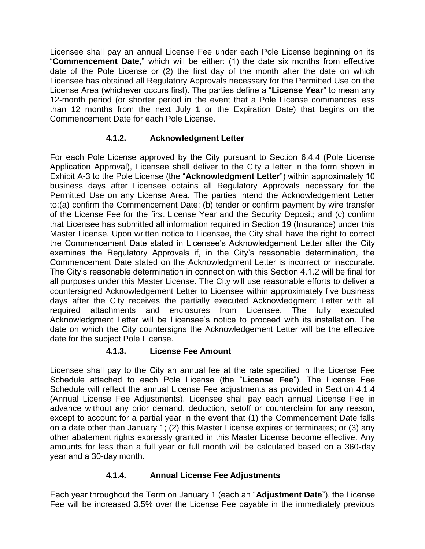Licensee shall pay an annual License Fee under each Pole License beginning on its "**Commencement Date**," which will be either: (1) the date six months from effective date of the Pole License or (2) the first day of the month after the date on which Licensee has obtained all Regulatory Approvals necessary for the Permitted Use on the License Area (whichever occurs first). The parties define a "**License Year**" to mean any 12-month period (or shorter period in the event that a Pole License commences less than 12 months from the next July 1 or the Expiration Date) that begins on the Commencement Date for each Pole License.

#### **4.1.2. Acknowledgment Letter**

<span id="page-14-0"></span>For each Pole License approved by the City pursuant to Section 6.4.4 (Pole License Application Approval), Licensee shall deliver to the City a letter in the form shown in Exhibit A-3 to the Pole License (the "**Acknowledgment Letter**") within approximately 10 business days after Licensee obtains all Regulatory Approvals necessary for the Permitted Use on any License Area. The parties intend the Acknowledgement Letter to:(a) confirm the Commencement Date; (b) tender or confirm payment by wire transfer of the License Fee for the first License Year and the Security Deposit; and (c) confirm that Licensee has submitted all information required in Section 19 (Insurance) under this Master License. Upon written notice to Licensee, the City shall have the right to correct the Commencement Date stated in Licensee's Acknowledgement Letter after the City examines the Regulatory Approvals if, in the City's reasonable determination, the Commencement Date stated on the Acknowledgment Letter is incorrect or inaccurate. The City's reasonable determination in connection with this Section 4.1.2 will be final for all purposes under this Master License. The City will use reasonable efforts to deliver a countersigned Acknowledgement Letter to Licensee within approximately five business days after the City receives the partially executed Acknowledgment Letter with all required attachments and enclosures from Licensee. The fully executed Acknowledgment Letter will be Licensee's notice to proceed with its installation. The date on which the City countersigns the Acknowledgement Letter will be the effective date for the subject Pole License.

#### **4.1.3. License Fee Amount**

<span id="page-14-1"></span>Licensee shall pay to the City an annual fee at the rate specified in the License Fee Schedule attached to each Pole License (the "**License Fee**"). The License Fee Schedule will reflect the annual License Fee adjustments as provided in Section 4.1.4 (Annual License Fee Adjustments). Licensee shall pay each annual License Fee in advance without any prior demand, deduction, setoff or counterclaim for any reason, except to account for a partial year in the event that (1) the Commencement Date falls on a date other than January 1; (2) this Master License expires or terminates; or (3) any other abatement rights expressly granted in this Master License become effective. Any amounts for less than a full year or full month will be calculated based on a 360-day year and a 30-day month.

## **4.1.4. Annual License Fee Adjustments**

<span id="page-14-2"></span>Each year throughout the Term on January 1 (each an "**Adjustment Date**"), the License Fee will be increased 3.5% over the License Fee payable in the immediately previous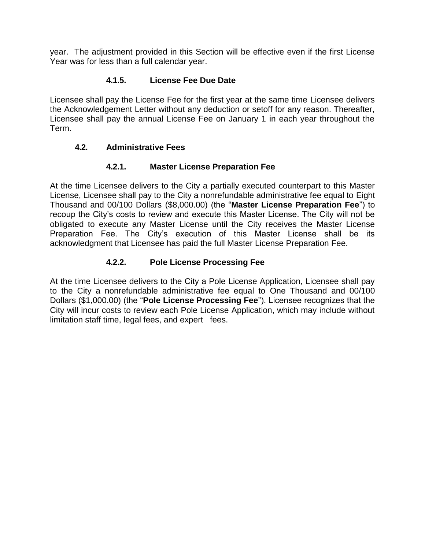year. The adjustment provided in this Section will be effective even if the first License Year was for less than a full calendar year.

#### **4.1.5. License Fee Due Date**

<span id="page-15-0"></span>Licensee shall pay the License Fee for the first year at the same time Licensee delivers the Acknowledgement Letter without any deduction or setoff for any reason. Thereafter, Licensee shall pay the annual License Fee on January 1 in each year throughout the Term.

#### <span id="page-15-1"></span>**4.2. Administrative Fees**

#### **4.2.1. Master License Preparation Fee**

<span id="page-15-2"></span>At the time Licensee delivers to the City a partially executed counterpart to this Master License, Licensee shall pay to the City a nonrefundable administrative fee equal to Eight Thousand and 00/100 Dollars (\$8,000.00) (the "**Master License Preparation Fee**") to recoup the City's costs to review and execute this Master License. The City will not be obligated to execute any Master License until the City receives the Master License Preparation Fee. The City's execution of this Master License shall be its acknowledgment that Licensee has paid the full Master License Preparation Fee.

## **4.2.2. Pole License Processing Fee**

<span id="page-15-3"></span>At the time Licensee delivers to the City a Pole License Application, Licensee shall pay to the City a nonrefundable administrative fee equal to One Thousand and 00/100 Dollars (\$1,000.00) (the "**Pole License Processing Fee**"). Licensee recognizes that the City will incur costs to review each Pole License Application, which may include without limitation staff time, legal fees, and expert fees.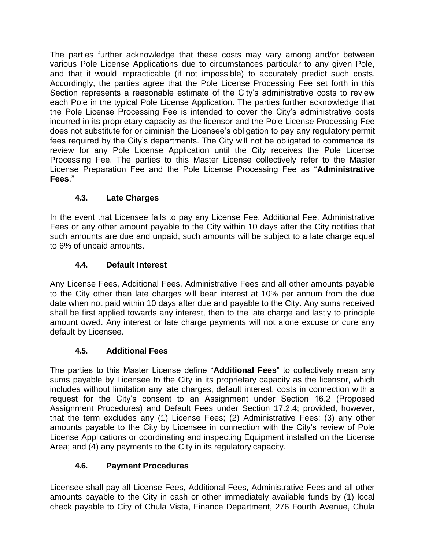The parties further acknowledge that these costs may vary among and/or between various Pole License Applications due to circumstances particular to any given Pole, and that it would impracticable (if not impossible) to accurately predict such costs. Accordingly, the parties agree that the Pole License Processing Fee set forth in this Section represents a reasonable estimate of the City's administrative costs to review each Pole in the typical Pole License Application. The parties further acknowledge that the Pole License Processing Fee is intended to cover the City's administrative costs incurred in its proprietary capacity as the licensor and the Pole License Processing Fee does not substitute for or diminish the Licensee's obligation to pay any regulatory permit fees required by the City's departments. The City will not be obligated to commence its review for any Pole License Application until the City receives the Pole License Processing Fee. The parties to this Master License collectively refer to the Master License Preparation Fee and the Pole License Processing Fee as "**Administrative Fees**."

## **4.3. Late Charges**

<span id="page-16-0"></span>In the event that Licensee fails to pay any License Fee, Additional Fee, Administrative Fees or any other amount payable to the City within 10 days after the City notifies that such amounts are due and unpaid, such amounts will be subject to a late charge equal to 6% of unpaid amounts.

## **4.4. Default Interest**

<span id="page-16-1"></span>Any License Fees, Additional Fees, Administrative Fees and all other amounts payable to the City other than late charges will bear interest at 10% per annum from the due date when not paid within 10 days after due and payable to the City. Any sums received shall be first applied towards any interest, then to the late charge and lastly to principle amount owed. Any interest or late charge payments will not alone excuse or cure any default by Licensee.

# **4.5. Additional Fees**

<span id="page-16-2"></span>The parties to this Master License define "**Additional Fees**" to collectively mean any sums payable by Licensee to the City in its proprietary capacity as the licensor, which includes without limitation any late charges, default interest, costs in connection with a request for the City's consent to an Assignment under Section 16.2 (Proposed Assignment Procedures) and Default Fees under Section 17.2.4; provided, however, that the term excludes any (1) License Fees; (2) Administrative Fees; (3) any other amounts payable to the City by Licensee in connection with the City's review of Pole License Applications or coordinating and inspecting Equipment installed on the License Area; and (4) any payments to the City in its regulatory capacity.

# **4.6. Payment Procedures**

<span id="page-16-3"></span>Licensee shall pay all License Fees, Additional Fees, Administrative Fees and all other amounts payable to the City in cash or other immediately available funds by (1) local check payable to City of Chula Vista, Finance Department, 276 Fourth Avenue, Chula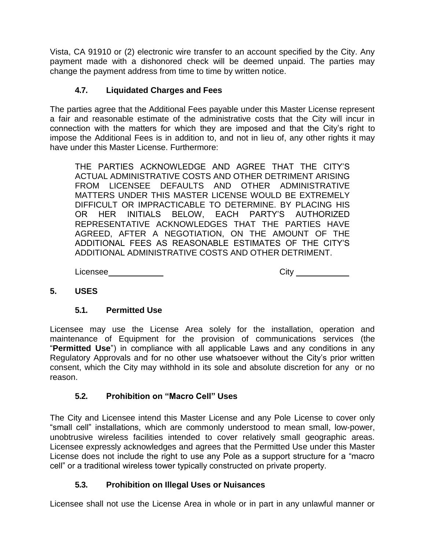Vista, CA 91910 or (2) electronic wire transfer to an account specified by the City. Any payment made with a dishonored check will be deemed unpaid. The parties may change the payment address from time to time by written notice.

#### **4.7. Liquidated Charges and Fees**

<span id="page-17-0"></span>The parties agree that the Additional Fees payable under this Master License represent a fair and reasonable estimate of the administrative costs that the City will incur in connection with the matters for which they are imposed and that the City's right to impose the Additional Fees is in addition to, and not in lieu of, any other rights it may have under this Master License. Furthermore:

THE PARTIES ACKNOWLEDGE AND AGREE THAT THE CITY'S ACTUAL ADMINISTRATIVE COSTS AND OTHER DETRIMENT ARISING FROM LICENSEE DEFAULTS AND OTHER ADMINISTRATIVE MATTERS UNDER THIS MASTER LICENSE WOULD BE EXTREMELY DIFFICULT OR IMPRACTICABLE TO DETERMINE. BY PLACING HIS OR HER INITIALS BELOW, EACH PARTY'S AUTHORIZED REPRESENTATIVE ACKNOWLEDGES THAT THE PARTIES HAVE AGREED, AFTER A NEGOTIATION, ON THE AMOUNT OF THE ADDITIONAL FEES AS REASONABLE ESTIMATES OF THE CITY'S ADDITIONAL ADMINISTRATIVE COSTS AND OTHER DETRIMENT.

Licensee City

#### <span id="page-17-1"></span>**5. USES**

#### **5.1. Permitted Use**

<span id="page-17-2"></span>Licensee may use the License Area solely for the installation, operation and maintenance of Equipment for the provision of communications services (the "**Permitted Use**") in compliance with all applicable Laws and any conditions in any Regulatory Approvals and for no other use whatsoever without the City's prior written consent, which the City may withhold in its sole and absolute discretion for any or no reason.

## **5.2. Prohibition on "Macro Cell" Uses**

<span id="page-17-3"></span>The City and Licensee intend this Master License and any Pole License to cover only "small cell" installations, which are commonly understood to mean small, low-power, unobtrusive wireless facilities intended to cover relatively small geographic areas. Licensee expressly acknowledges and agrees that the Permitted Use under this Master License does not include the right to use any Pole as a support structure for a "macro cell" or a traditional wireless tower typically constructed on private property.

#### **5.3. Prohibition on Illegal Uses or Nuisances**

<span id="page-17-4"></span>Licensee shall not use the License Area in whole or in part in any unlawful manner or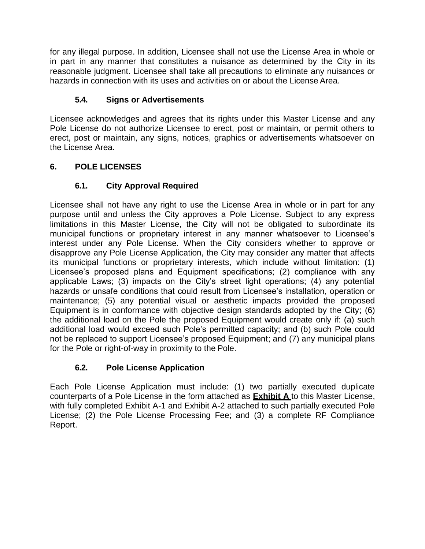for any illegal purpose. In addition, Licensee shall not use the License Area in whole or in part in any manner that constitutes a nuisance as determined by the City in its reasonable judgment. Licensee shall take all precautions to eliminate any nuisances or hazards in connection with its uses and activities on or about the License Area.

## **5.4. Signs or Advertisements**

<span id="page-18-0"></span>Licensee acknowledges and agrees that its rights under this Master License and any Pole License do not authorize Licensee to erect, post or maintain, or permit others to erect, post or maintain, any signs, notices, graphics or advertisements whatsoever on the License Area.

## <span id="page-18-1"></span>**6. POLE LICENSES**

## **6.1. City Approval Required**

<span id="page-18-2"></span>Licensee shall not have any right to use the License Area in whole or in part for any purpose until and unless the City approves a Pole License. Subject to any express limitations in this Master License, the City will not be obligated to subordinate its municipal functions or proprietary interest in any manner whatsoever to Licensee's interest under any Pole License. When the City considers whether to approve or disapprove any Pole License Application, the City may consider any matter that affects its municipal functions or proprietary interests, which include without limitation: (1) Licensee's proposed plans and Equipment specifications; (2) compliance with any applicable Laws; (3) impacts on the City's street light operations; (4) any potential hazards or unsafe conditions that could result from Licensee's installation, operation or maintenance; (5) any potential visual or aesthetic impacts provided the proposed Equipment is in conformance with objective design standards adopted by the City; (6) the additional load on the Pole the proposed Equipment would create only if: (a) such additional load would exceed such Pole's permitted capacity; and (b) such Pole could not be replaced to support Licensee's proposed Equipment; and (7) any municipal plans for the Pole or right-of-way in proximity to the Pole.

## **6.2. Pole License Application**

<span id="page-18-3"></span>Each Pole License Application must include: (1) two partially executed duplicate counterparts of a Pole License in the form attached as **Exhibit A** to this Master License, with fully completed Exhibit A-1 and Exhibit A-2 attached to such partially executed Pole License; (2) the Pole License Processing Fee; and (3) a complete RF Compliance Report.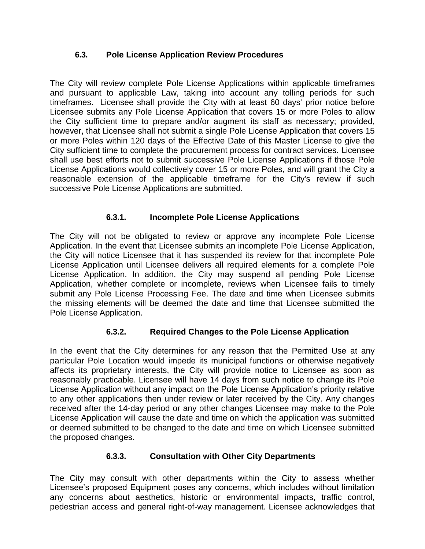#### <span id="page-19-0"></span>**6.3. Pole License Application Review Procedures**

The City will review complete Pole License Applications within applicable timeframes and pursuant to applicable Law, taking into account any tolling periods for such timeframes. Licensee shall provide the City with at least 60 days' prior notice before Licensee submits any Pole License Application that covers 15 or more Poles to allow the City sufficient time to prepare and/or augment its staff as necessary; provided, however, that Licensee shall not submit a single Pole License Application that covers 15 or more Poles within 120 days of the Effective Date of this Master License to give the City sufficient time to complete the procurement process for contract services. Licensee shall use best efforts not to submit successive Pole License Applications if those Pole License Applications would collectively cover 15 or more Poles, and will grant the City a reasonable extension of the applicable timeframe for the City's review if such successive Pole License Applications are submitted.

## **6.3.1. Incomplete Pole License Applications**

<span id="page-19-1"></span>The City will not be obligated to review or approve any incomplete Pole License Application. In the event that Licensee submits an incomplete Pole License Application, the City will notice Licensee that it has suspended its review for that incomplete Pole License Application until Licensee delivers all required elements for a complete Pole License Application. In addition, the City may suspend all pending Pole License Application, whether complete or incomplete, reviews when Licensee fails to timely submit any Pole License Processing Fee. The date and time when Licensee submits the missing elements will be deemed the date and time that Licensee submitted the Pole License Application.

## **6.3.2. Required Changes to the Pole License Application**

<span id="page-19-2"></span>In the event that the City determines for any reason that the Permitted Use at any particular Pole Location would impede its municipal functions or otherwise negatively affects its proprietary interests, the City will provide notice to Licensee as soon as reasonably practicable. Licensee will have 14 days from such notice to change its Pole License Application without any impact on the Pole License Application's priority relative to any other applications then under review or later received by the City. Any changes received after the 14-day period or any other changes Licensee may make to the Pole License Application will cause the date and time on which the application was submitted or deemed submitted to be changed to the date and time on which Licensee submitted the proposed changes.

#### **6.3.3. Consultation with Other City Departments**

<span id="page-19-3"></span>The City may consult with other departments within the City to assess whether Licensee's proposed Equipment poses any concerns, which includes without limitation any concerns about aesthetics, historic or environmental impacts, traffic control, pedestrian access and general right-of-way management. Licensee acknowledges that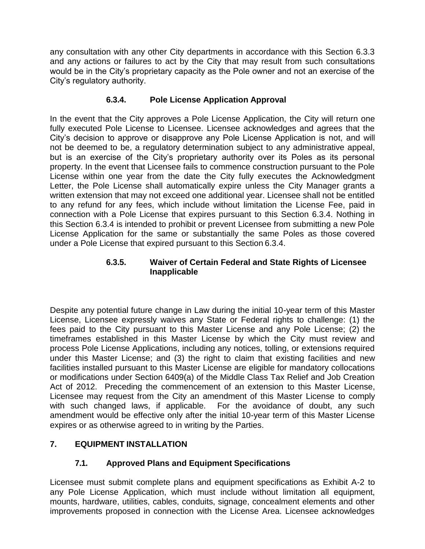any consultation with any other City departments in accordance with this Section 6.3.3 and any actions or failures to act by the City that may result from such consultations would be in the City's proprietary capacity as the Pole owner and not an exercise of the City's regulatory authority.

#### **6.3.4. Pole License Application Approval**

<span id="page-20-0"></span>In the event that the City approves a Pole License Application, the City will return one fully executed Pole License to Licensee. Licensee acknowledges and agrees that the City's decision to approve or disapprove any Pole License Application is not, and will not be deemed to be, a regulatory determination subject to any administrative appeal, but is an exercise of the City's proprietary authority over its Poles as its personal property. In the event that Licensee fails to commence construction pursuant to the Pole License within one year from the date the City fully executes the Acknowledgment Letter, the Pole License shall automatically expire unless the City Manager grants a written extension that may not exceed one additional year. Licensee shall not be entitled to any refund for any fees, which include without limitation the License Fee, paid in connection with a Pole License that expires pursuant to this Section 6.3.4. Nothing in this Section 6.3.4 is intended to prohibit or prevent Licensee from submitting a new Pole License Application for the same or substantially the same Poles as those covered under a Pole License that expired pursuant to this Section 6.3.4.

#### **6.3.5. Waiver of Certain Federal and State Rights of Licensee Inapplicable**

<span id="page-20-2"></span><span id="page-20-1"></span>Despite any potential future change in Law during the initial 10-year term of this Master License, Licensee expressly waives any State or Federal rights to challenge: (1) the fees paid to the City pursuant to this Master License and any Pole License; (2) the timeframes established in this Master License by which the City must review and process Pole License Applications, including any notices, tolling, or extensions required under this Master License; and (3) the right to claim that existing facilities and new facilities installed pursuant to this Master License are eligible for mandatory collocations or modifications under Section 6409(a) of the Middle Class Tax Relief and Job Creation Act of 2012. Preceding the commencement of an extension to this Master License, Licensee may request from the City an amendment of this Master License to comply with such changed laws, if applicable. For the avoidance of doubt, any such amendment would be effective only after the initial 10-year term of this Master License expires or as otherwise agreed to in writing by the Parties.

## <span id="page-20-3"></span>**7. EQUIPMENT INSTALLATION**

#### **7.1. Approved Plans and Equipment Specifications**

<span id="page-20-4"></span>Licensee must submit complete plans and equipment specifications as Exhibit A-2 to any Pole License Application, which must include without limitation all equipment, mounts, hardware, utilities, cables, conduits, signage, concealment elements and other improvements proposed in connection with the License Area. Licensee acknowledges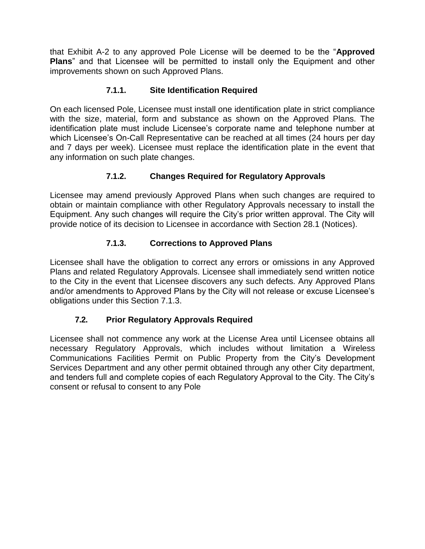that Exhibit A-2 to any approved Pole License will be deemed to be the "**Approved Plans**" and that Licensee will be permitted to install only the Equipment and other improvements shown on such Approved Plans.

#### **7.1.1. Site Identification Required**

<span id="page-21-0"></span>On each licensed Pole, Licensee must install one identification plate in strict compliance with the size, material, form and substance as shown on the Approved Plans. The identification plate must include Licensee's corporate name and telephone number at which Licensee's On-Call Representative can be reached at all times (24 hours per day and 7 days per week). Licensee must replace the identification plate in the event that any information on such plate changes.

#### **7.1.2. Changes Required for Regulatory Approvals**

<span id="page-21-1"></span>Licensee may amend previously Approved Plans when such changes are required to obtain or maintain compliance with other Regulatory Approvals necessary to install the Equipment. Any such changes will require the City's prior written approval. The City will provide notice of its decision to Licensee in accordance with Section 28.1 (Notices).

#### **7.1.3. Corrections to Approved Plans**

<span id="page-21-2"></span>Licensee shall have the obligation to correct any errors or omissions in any Approved Plans and related Regulatory Approvals. Licensee shall immediately send written notice to the City in the event that Licensee discovers any such defects. Any Approved Plans and/or amendments to Approved Plans by the City will not release or excuse Licensee's obligations under this Section 7.1.3.

## **7.2. Prior Regulatory Approvals Required**

<span id="page-21-3"></span>Licensee shall not commence any work at the License Area until Licensee obtains all necessary Regulatory Approvals, which includes without limitation a Wireless Communications Facilities Permit on Public Property from the City's Development Services Department and any other permit obtained through any other City department, and tenders full and complete copies of each Regulatory Approval to the City. The City's consent or refusal to consent to any Pole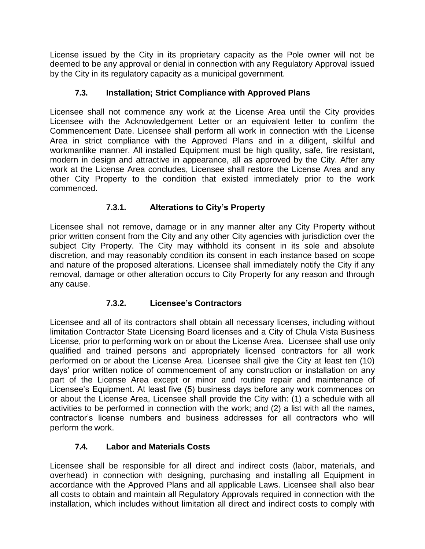License issued by the City in its proprietary capacity as the Pole owner will not be deemed to be any approval or denial in connection with any Regulatory Approval issued by the City in its regulatory capacity as a municipal government.

## **7.3. Installation; Strict Compliance with Approved Plans**

<span id="page-22-0"></span>Licensee shall not commence any work at the License Area until the City provides Licensee with the Acknowledgement Letter or an equivalent letter to confirm the Commencement Date. Licensee shall perform all work in connection with the License Area in strict compliance with the Approved Plans and in a diligent, skillful and workmanlike manner. All installed Equipment must be high quality, safe, fire resistant, modern in design and attractive in appearance, all as approved by the City. After any work at the License Area concludes, Licensee shall restore the License Area and any other City Property to the condition that existed immediately prior to the work commenced.

## **7.3.1. Alterations to City's Property**

<span id="page-22-1"></span>Licensee shall not remove, damage or in any manner alter any City Property without prior written consent from the City and any other City agencies with jurisdiction over the subject City Property. The City may withhold its consent in its sole and absolute discretion, and may reasonably condition its consent in each instance based on scope and nature of the proposed alterations. Licensee shall immediately notify the City if any removal, damage or other alteration occurs to City Property for any reason and through any cause.

## **7.3.2. Licensee's Contractors**

<span id="page-22-2"></span>Licensee and all of its contractors shall obtain all necessary licenses, including without limitation Contractor State Licensing Board licenses and a City of Chula Vista Business License, prior to performing work on or about the License Area. Licensee shall use only qualified and trained persons and appropriately licensed contractors for all work performed on or about the License Area. Licensee shall give the City at least ten (10) days' prior written notice of commencement of any construction or installation on any part of the License Area except or minor and routine repair and maintenance of Licensee's Equipment. At least five (5) business days before any work commences on or about the License Area, Licensee shall provide the City with: (1) a schedule with all activities to be performed in connection with the work; and (2) a list with all the names, contractor's license numbers and business addresses for all contractors who will perform the work.

## **7.4. Labor and Materials Costs**

<span id="page-22-3"></span>Licensee shall be responsible for all direct and indirect costs (labor, materials, and overhead) in connection with designing, purchasing and installing all Equipment in accordance with the Approved Plans and all applicable Laws. Licensee shall also bear all costs to obtain and maintain all Regulatory Approvals required in connection with the installation, which includes without limitation all direct and indirect costs to comply with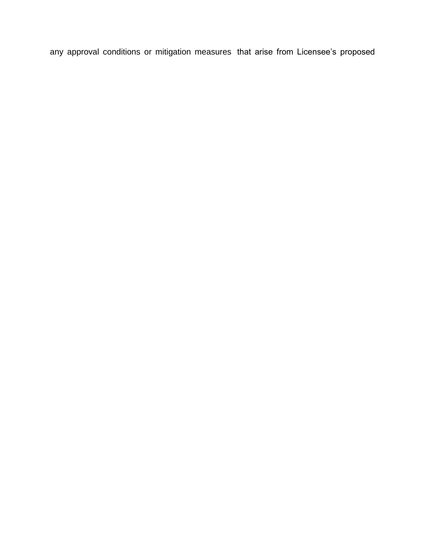any approval conditions or mitigation measures that arise from Licensee's proposed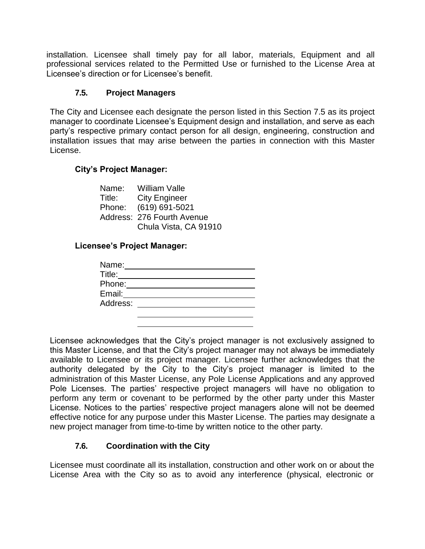installation. Licensee shall timely pay for all labor, materials, Equipment and all professional services related to the Permitted Use or furnished to the License Area at Licensee's direction or for Licensee's benefit.

#### **7.5. Project Managers**

<span id="page-24-0"></span>The City and Licensee each designate the person listed in this Section 7.5 as its project manager to coordinate Licensee's Equipment design and installation, and serve as each party's respective primary contact person for all design, engineering, construction and installation issues that may arise between the parties in connection with this Master License.

#### **City's Project Manager:**

Name: William Valle Title: City Engineer Phone: (619) 691-5021 Address: 276 Fourth Avenue Chula Vista, CA 91910

#### **Licensee's Project Manager:**

Licensee acknowledges that the City's project manager is not exclusively assigned to this Master License, and that the City's project manager may not always be immediately available to Licensee or its project manager. Licensee further acknowledges that the authority delegated by the City to the City's project manager is limited to the administration of this Master License, any Pole License Applications and any approved Pole Licenses. The parties' respective project managers will have no obligation to perform any term or covenant to be performed by the other party under this Master License. Notices to the parties' respective project managers alone will not be deemed effective notice for any purpose under this Master License. The parties may designate a new project manager from time-to-time by written notice to the other party.

#### **7.6. Coordination with the City**

<span id="page-24-1"></span>Licensee must coordinate all its installation, construction and other work on or about the License Area with the City so as to avoid any interference (physical, electronic or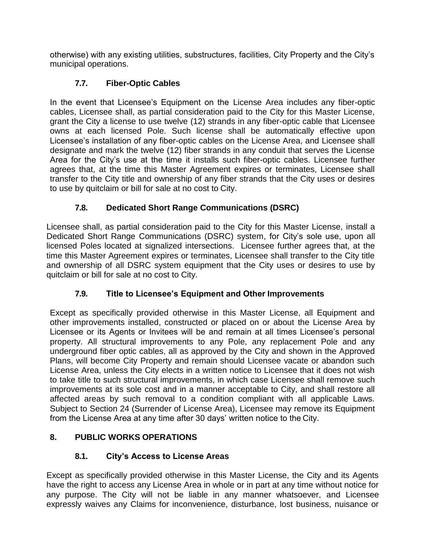otherwise) with any existing utilities, substructures, facilities, City Property and the City's municipal operations.

## **7.7. Fiber-Optic Cables**

<span id="page-25-0"></span>In the event that Licensee's Equipment on the License Area includes any fiber-optic cables, Licensee shall, as partial consideration paid to the City for this Master License, grant the City a license to use twelve (12) strands in any fiber-optic cable that Licensee owns at each licensed Pole. Such license shall be automatically effective upon Licensee's installation of any fiber-optic cables on the License Area, and Licensee shall designate and mark the twelve (12) fiber strands in any conduit that serves the License Area for the City's use at the time it installs such fiber-optic cables. Licensee further agrees that, at the time this Master Agreement expires or terminates, Licensee shall transfer to the City title and ownership of any fiber strands that the City uses or desires to use by quitclaim or bill for sale at no cost to City.

# **7.8. Dedicated Short Range Communications (DSRC)**

Licensee shall, as partial consideration paid to the City for this Master License, install a Dedicated Short Range Communications (DSRC) system, for City's sole use, upon all licensed Poles located at signalized intersections. Licensee further agrees that, at the time this Master Agreement expires or terminates, Licensee shall transfer to the City title and ownership of all DSRC system equipment that the City uses or desires to use by quitclaim or bill for sale at no cost to City.

# **7.9. Title to Licensee's Equipment and Other Improvements**

<span id="page-25-1"></span>Except as specifically provided otherwise in this Master License, all Equipment and other improvements installed, constructed or placed on or about the License Area by Licensee or its Agents or Invitees will be and remain at all times Licensee's personal property. All structural improvements to any Pole, any replacement Pole and any underground fiber optic cables, all as approved by the City and shown in the Approved Plans, will become City Property and remain should Licensee vacate or abandon such License Area, unless the City elects in a written notice to Licensee that it does not wish to take title to such structural improvements, in which case Licensee shall remove such improvements at its sole cost and in a manner acceptable to City, and shall restore all affected areas by such removal to a condition compliant with all applicable Laws. Subject to Section 24 (Surrender of License Area), Licensee may remove its Equipment from the License Area at any time after 30 days' written notice to the City.

# <span id="page-25-2"></span>**8. PUBLIC WORKS OPERATIONS**

# **8.1. City's Access to License Areas**

<span id="page-25-3"></span>Except as specifically provided otherwise in this Master License, the City and its Agents have the right to access any License Area in whole or in part at any time without notice for any purpose. The City will not be liable in any manner whatsoever, and Licensee expressly waives any Claims for inconvenience, disturbance, lost business, nuisance or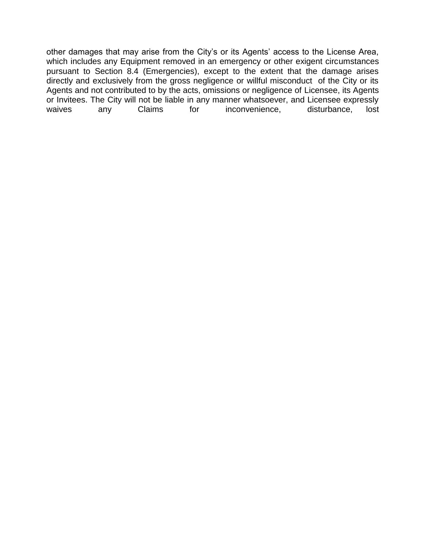other damages that may arise from the City's or its Agents' access to the License Area, which includes any Equipment removed in an emergency or other exigent circumstances pursuant to Section 8.4 (Emergencies), except to the extent that the damage arises directly and exclusively from the gross negligence or willful misconduct of the City or its Agents and not contributed to by the acts, omissions or negligence of Licensee, its Agents or Invitees. The City will not be liable in any manner whatsoever, and Licensee expressly waives any Claims for inconvenience, disturbance, lost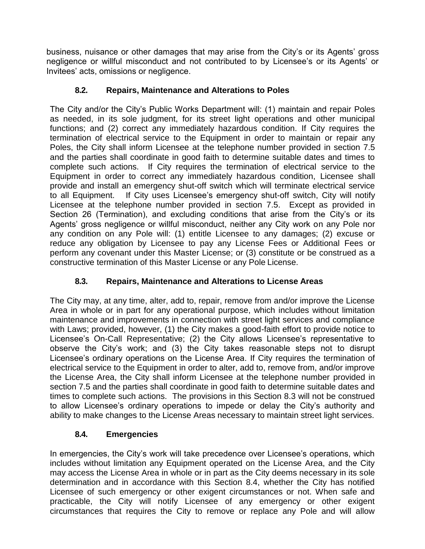business, nuisance or other damages that may arise from the City's or its Agents' gross negligence or willful misconduct and not contributed to by Licensee's or its Agents' or Invitees' acts, omissions or negligence.

## **8.2. Repairs, Maintenance and Alterations to Poles**

<span id="page-27-0"></span>The City and/or the City's Public Works Department will: (1) maintain and repair Poles as needed, in its sole judgment, for its street light operations and other municipal functions; and (2) correct any immediately hazardous condition. If City requires the termination of electrical service to the Equipment in order to maintain or repair any Poles, the City shall inform Licensee at the telephone number provided in section 7.5 and the parties shall coordinate in good faith to determine suitable dates and times to complete such actions. If City requires the termination of electrical service to the Equipment in order to correct any immediately hazardous condition, Licensee shall provide and install an emergency shut-off switch which will terminate electrical service to all Equipment. If City uses Licensee's emergency shut-off switch, City will notify Licensee at the telephone number provided in section 7.5. Except as provided in Section 26 (Termination), and excluding conditions that arise from the City's or its Agents' gross negligence or willful misconduct, neither any City work on any Pole nor any condition on any Pole will: (1) entitle Licensee to any damages; (2) excuse or reduce any obligation by Licensee to pay any License Fees or Additional Fees or perform any covenant under this Master License; or (3) constitute or be construed as a constructive termination of this Master License or any Pole License.

## **8.3. Repairs, Maintenance and Alterations to License Areas**

<span id="page-27-1"></span>The City may, at any time, alter, add to, repair, remove from and/or improve the License Area in whole or in part for any operational purpose, which includes without limitation maintenance and improvements in connection with street light services and compliance with Laws; provided, however, (1) the City makes a good-faith effort to provide notice to Licensee's On-Call Representative; (2) the City allows Licensee's representative to observe the City's work; and (3) the City takes reasonable steps not to disrupt Licensee's ordinary operations on the License Area. If City requires the termination of electrical service to the Equipment in order to alter, add to, remove from, and/or improve the License Area, the City shall inform Licensee at the telephone number provided in section 7.5 and the parties shall coordinate in good faith to determine suitable dates and times to complete such actions. The provisions in this Section 8.3 will not be construed to allow Licensee's ordinary operations to impede or delay the City's authority and ability to make changes to the License Areas necessary to maintain street light services.

## **8.4. Emergencies**

<span id="page-27-2"></span>In emergencies, the City's work will take precedence over Licensee's operations, which includes without limitation any Equipment operated on the License Area, and the City may access the License Area in whole or in part as the City deems necessary in its sole determination and in accordance with this Section 8.4, whether the City has notified Licensee of such emergency or other exigent circumstances or not. When safe and practicable, the City will notify Licensee of any emergency or other exigent circumstances that requires the City to remove or replace any Pole and will allow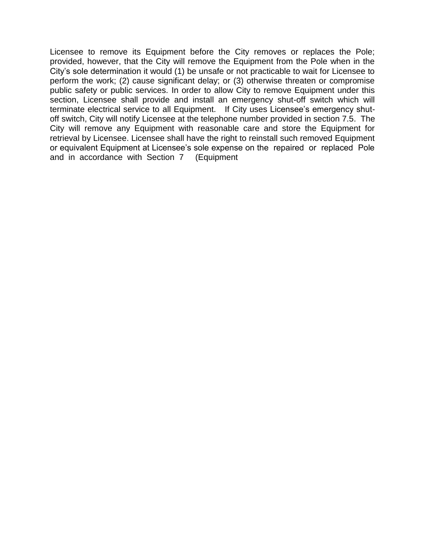Licensee to remove its Equipment before the City removes or replaces the Pole; provided, however, that the City will remove the Equipment from the Pole when in the City's sole determination it would (1) be unsafe or not practicable to wait for Licensee to perform the work; (2) cause significant delay; or (3) otherwise threaten or compromise public safety or public services. In order to allow City to remove Equipment under this section, Licensee shall provide and install an emergency shut-off switch which will terminate electrical service to all Equipment. If City uses Licensee's emergency shutoff switch, City will notify Licensee at the telephone number provided in section 7.5. The City will remove any Equipment with reasonable care and store the Equipment for retrieval by Licensee. Licensee shall have the right to reinstall such removed Equipment or equivalent Equipment at Licensee's sole expense on the repaired or replaced Pole and in accordance with Section 7 (Equipment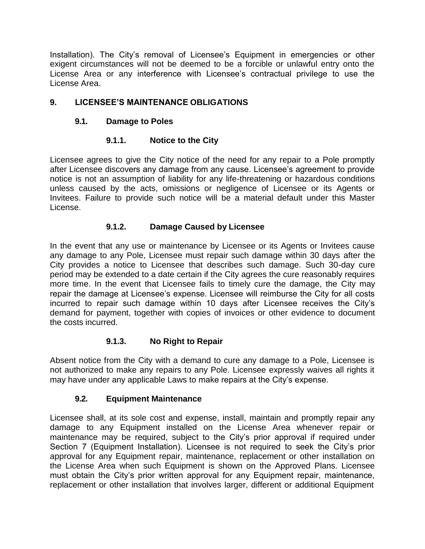Installation). The City's removal of Licensee's Equipment in emergencies or other exigent circumstances will not be deemed to be a forcible or unlawful entry onto the License Area or any interference with Licensee's contractual privilege to use the License Area.

## <span id="page-29-1"></span><span id="page-29-0"></span>**9. LICENSEE'S MAINTENANCE OBLIGATIONS**

#### **9.1. Damage to Poles**

#### **9.1.1. Notice to the City**

<span id="page-29-2"></span>Licensee agrees to give the City notice of the need for any repair to a Pole promptly after Licensee discovers any damage from any cause. Licensee's agreement to provide notice is not an assumption of liability for any life-threatening or hazardous conditions unless caused by the acts, omissions or negligence of Licensee or its Agents or Invitees. Failure to provide such notice will be a material default under this Master License.

#### **9.1.2. Damage Caused by Licensee**

<span id="page-29-3"></span>In the event that any use or maintenance by Licensee or its Agents or Invitees cause any damage to any Pole, Licensee must repair such damage within 30 days after the City provides a notice to Licensee that describes such damage. Such 30-day cure period may be extended to a date certain if the City agrees the cure reasonably requires more time. In the event that Licensee fails to timely cure the damage, the City may repair the damage at Licensee's expense. Licensee will reimburse the City for all costs incurred to repair such damage within 10 days after Licensee receives the City's demand for payment, together with copies of invoices or other evidence to document the costs incurred.

#### **9.1.3. No Right to Repair**

<span id="page-29-4"></span>Absent notice from the City with a demand to cure any damage to a Pole, Licensee is not authorized to make any repairs to any Pole. Licensee expressly waives all rights it may have under any applicable Laws to make repairs at the City's expense.

#### **9.2. Equipment Maintenance**

<span id="page-29-5"></span>Licensee shall, at its sole cost and expense, install, maintain and promptly repair any damage to any Equipment installed on the License Area whenever repair or maintenance may be required, subject to the City's prior approval if required under Section 7 (Equipment Installation). Licensee is not required to seek the City's prior approval for any Equipment repair, maintenance, replacement or other installation on the License Area when such Equipment is shown on the Approved Plans. Licensee must obtain the City's prior written approval for any Equipment repair, maintenance, replacement or other installation that involves larger, different or additional Equipment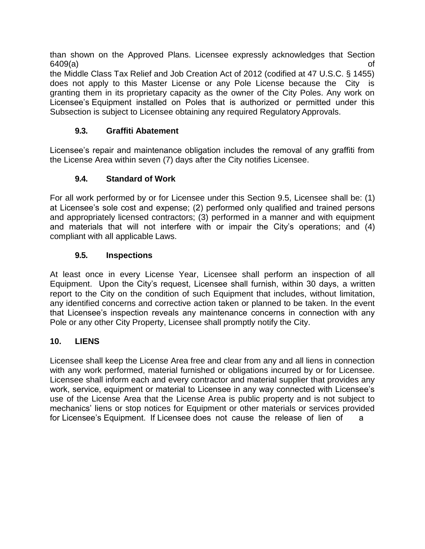than shown on the Approved Plans. Licensee expressly acknowledges that Section  $6409(a)$  of

the Middle Class Tax Relief and Job Creation Act of 2012 (codified at 47 U.S.C. § 1455) does not apply to this Master License or any Pole License because the City is granting them in its proprietary capacity as the owner of the City Poles. Any work on Licensee's Equipment installed on Poles that is authorized or permitted under this Subsection is subject to Licensee obtaining any required Regulatory Approvals.

#### **9.3. Graffiti Abatement**

<span id="page-30-0"></span>Licensee's repair and maintenance obligation includes the removal of any graffiti from the License Area within seven (7) days after the City notifies Licensee.

#### **9.4. Standard of Work**

<span id="page-30-1"></span>For all work performed by or for Licensee under this Section 9.5, Licensee shall be: (1) at Licensee's sole cost and expense; (2) performed only qualified and trained persons and appropriately licensed contractors; (3) performed in a manner and with equipment and materials that will not interfere with or impair the City's operations; and (4) compliant with all applicable Laws.

#### **9.5. Inspections**

<span id="page-30-2"></span>At least once in every License Year, Licensee shall perform an inspection of all Equipment. Upon the City's request, Licensee shall furnish, within 30 days, a written report to the City on the condition of such Equipment that includes, without limitation, any identified concerns and corrective action taken or planned to be taken. In the event that Licensee's inspection reveals any maintenance concerns in connection with any Pole or any other City Property, Licensee shall promptly notify the City.

#### <span id="page-30-3"></span>**10. LIENS**

Licensee shall keep the License Area free and clear from any and all liens in connection with any work performed, material furnished or obligations incurred by or for Licensee. Licensee shall inform each and every contractor and material supplier that provides any work, service, equipment or material to Licensee in any way connected with Licensee's use of the License Area that the License Area is public property and is not subject to mechanics' liens or stop notices for Equipment or other materials or services provided for Licensee's Equipment. If Licensee does not cause the release of lien of a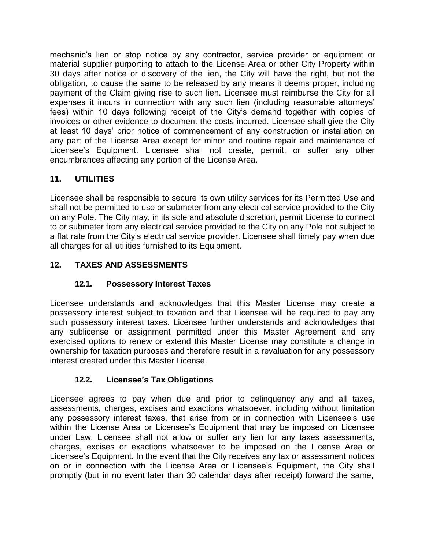mechanic's lien or stop notice by any contractor, service provider or equipment or material supplier purporting to attach to the License Area or other City Property within 30 days after notice or discovery of the lien, the City will have the right, but not the obligation, to cause the same to be released by any means it deems proper, including payment of the Claim giving rise to such lien. Licensee must reimburse the City for all expenses it incurs in connection with any such lien (including reasonable attorneys' fees) within 10 days following receipt of the City's demand together with copies of invoices or other evidence to document the costs incurred. Licensee shall give the City at least 10 days' prior notice of commencement of any construction or installation on any part of the License Area except for minor and routine repair and maintenance of Licensee's Equipment. Licensee shall not create, permit, or suffer any other encumbrances affecting any portion of the License Area.

## <span id="page-31-0"></span>**11. UTILITIES**

Licensee shall be responsible to secure its own utility services for its Permitted Use and shall not be permitted to use or submeter from any electrical service provided to the City on any Pole. The City may, in its sole and absolute discretion, permit License to connect to or submeter from any electrical service provided to the City on any Pole not subject to a flat rate from the City's electrical service provider. Licensee shall timely pay when due all charges for all utilities furnished to its Equipment.

# <span id="page-31-1"></span>**12. TAXES AND ASSESSMENTS**

# **12.1. Possessory Interest Taxes**

<span id="page-31-2"></span>Licensee understands and acknowledges that this Master License may create a possessory interest subject to taxation and that Licensee will be required to pay any such possessory interest taxes. Licensee further understands and acknowledges that any sublicense or assignment permitted under this Master Agreement and any exercised options to renew or extend this Master License may constitute a change in ownership for taxation purposes and therefore result in a revaluation for any possessory interest created under this Master License.

## **12.2. Licensee's Tax Obligations**

<span id="page-31-3"></span>Licensee agrees to pay when due and prior to delinquency any and all taxes, assessments, charges, excises and exactions whatsoever, including without limitation any possessory interest taxes, that arise from or in connection with Licensee's use within the License Area or Licensee's Equipment that may be imposed on Licensee under Law. Licensee shall not allow or suffer any lien for any taxes assessments, charges, excises or exactions whatsoever to be imposed on the License Area or Licensee's Equipment. In the event that the City receives any tax or assessment notices on or in connection with the License Area or Licensee's Equipment, the City shall promptly (but in no event later than 30 calendar days after receipt) forward the same,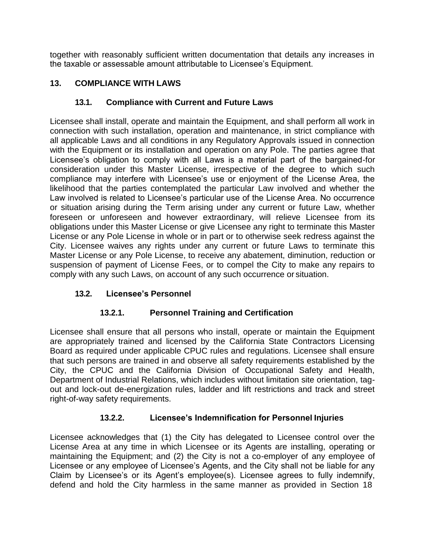together with reasonably sufficient written documentation that details any increases in the taxable or assessable amount attributable to Licensee's Equipment.

## <span id="page-32-0"></span>**13. COMPLIANCE WITH LAWS**

## **13.1. Compliance with Current and Future Laws**

<span id="page-32-1"></span>Licensee shall install, operate and maintain the Equipment, and shall perform all work in connection with such installation, operation and maintenance, in strict compliance with all applicable Laws and all conditions in any Regulatory Approvals issued in connection with the Equipment or its installation and operation on any Pole. The parties agree that Licensee's obligation to comply with all Laws is a material part of the bargained-for consideration under this Master License, irrespective of the degree to which such compliance may interfere with Licensee's use or enjoyment of the License Area, the likelihood that the parties contemplated the particular Law involved and whether the Law involved is related to Licensee's particular use of the License Area. No occurrence or situation arising during the Term arising under any current or future Law, whether foreseen or unforeseen and however extraordinary, will relieve Licensee from its obligations under this Master License or give Licensee any right to terminate this Master License or any Pole License in whole or in part or to otherwise seek redress against the City. Licensee waives any rights under any current or future Laws to terminate this Master License or any Pole License, to receive any abatement, diminution, reduction or suspension of payment of License Fees, or to compel the City to make any repairs to comply with any such Laws, on account of any such occurrence or situation.

## <span id="page-32-2"></span>**13.2. Licensee's Personnel**

## **13.2.1. Personnel Training and Certification**

<span id="page-32-3"></span>Licensee shall ensure that all persons who install, operate or maintain the Equipment are appropriately trained and licensed by the California State Contractors Licensing Board as required under applicable CPUC rules and regulations. Licensee shall ensure that such persons are trained in and observe all safety requirements established by the City, the CPUC and the California Division of Occupational Safety and Health, Department of Industrial Relations, which includes without limitation site orientation, tagout and lock-out de-energization rules, ladder and lift restrictions and track and street right-of-way safety requirements.

## **13.2.2. Licensee's Indemnification for Personnel Injuries**

<span id="page-32-4"></span>Licensee acknowledges that (1) the City has delegated to Licensee control over the License Area at any time in which Licensee or its Agents are installing, operating or maintaining the Equipment; and (2) the City is not a co-employer of any employee of Licensee or any employee of Licensee's Agents, and the City shall not be liable for any Claim by Licensee's or its Agent's employee(s). Licensee agrees to fully indemnify, defend and hold the City harmless in the same manner as provided in Section 18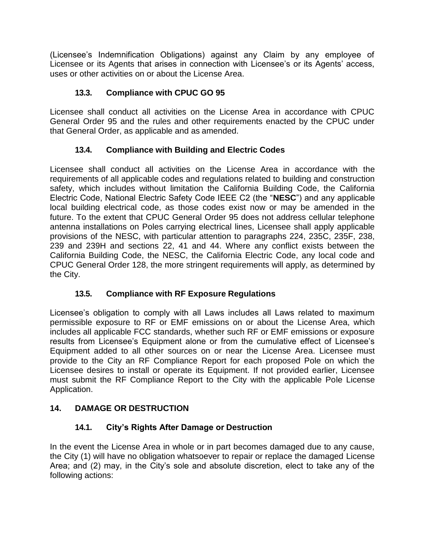(Licensee's Indemnification Obligations) against any Claim by any employee of Licensee or its Agents that arises in connection with Licensee's or its Agents' access, uses or other activities on or about the License Area.

## **13.3. Compliance with CPUC GO 95**

<span id="page-33-0"></span>Licensee shall conduct all activities on the License Area in accordance with CPUC General Order 95 and the rules and other requirements enacted by the CPUC under that General Order, as applicable and as amended.

## **13.4. Compliance with Building and Electric Codes**

<span id="page-33-1"></span>Licensee shall conduct all activities on the License Area in accordance with the requirements of all applicable codes and regulations related to building and construction safety, which includes without limitation the California Building Code, the California Electric Code, National Electric Safety Code IEEE C2 (the "**NESC**") and any applicable local building electrical code, as those codes exist now or may be amended in the future. To the extent that CPUC General Order 95 does not address cellular telephone antenna installations on Poles carrying electrical lines, Licensee shall apply applicable provisions of the NESC, with particular attention to paragraphs 224, 235C, 235F, 238, 239 and 239H and sections 22, 41 and 44. Where any conflict exists between the California Building Code, the NESC, the California Electric Code, any local code and CPUC General Order 128, the more stringent requirements will apply, as determined by the City.

## **13.5. Compliance with RF Exposure Regulations**

<span id="page-33-2"></span>Licensee's obligation to comply with all Laws includes all Laws related to maximum permissible exposure to RF or EMF emissions on or about the License Area, which includes all applicable FCC standards, whether such RF or EMF emissions or exposure results from Licensee's Equipment alone or from the cumulative effect of Licensee's Equipment added to all other sources on or near the License Area. Licensee must provide to the City an RF Compliance Report for each proposed Pole on which the Licensee desires to install or operate its Equipment. If not provided earlier, Licensee must submit the RF Compliance Report to the City with the applicable Pole License Application.

## <span id="page-33-3"></span>**14. DAMAGE OR DESTRUCTION**

## **14.1. City's Rights After Damage or Destruction**

<span id="page-33-4"></span>In the event the License Area in whole or in part becomes damaged due to any cause, the City (1) will have no obligation whatsoever to repair or replace the damaged License Area; and (2) may, in the City's sole and absolute discretion, elect to take any of the following actions: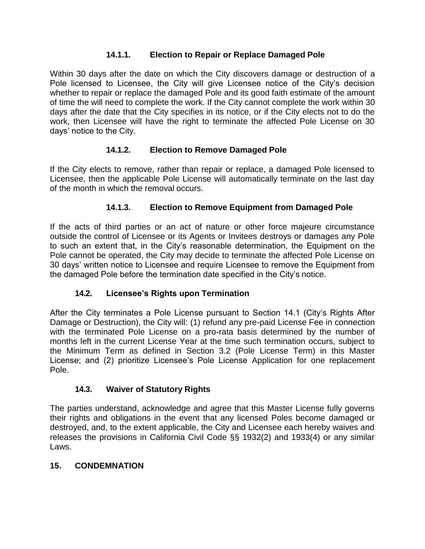#### **14.1.1. Election to Repair or Replace Damaged Pole**

<span id="page-34-0"></span>Within 30 days after the date on which the City discovers damage or destruction of a Pole licensed to Licensee, the City will give Licensee notice of the City's decision whether to repair or replace the damaged Pole and its good faith estimate of the amount of time the will need to complete the work. If the City cannot complete the work within 30 days after the date that the City specifies in its notice, or if the City elects not to do the work, then Licensee will have the right to terminate the affected Pole License on 30 days' notice to the City.

#### **14.1.2. Election to Remove Damaged Pole**

<span id="page-34-1"></span>If the City elects to remove, rather than repair or replace, a damaged Pole licensed to Licensee, then the applicable Pole License will automatically terminate on the last day of the month in which the removal occurs.

#### **14.1.3. Election to Remove Equipment from Damaged Pole**

<span id="page-34-2"></span>If the acts of third parties or an act of nature or other force majeure circumstance outside the control of Licensee or its Agents or Invitees destroys or damages any Pole to such an extent that, in the City's reasonable determination, the Equipment on the Pole cannot be operated, the City may decide to terminate the affected Pole License on 30 days' written notice to Licensee and require Licensee to remove the Equipment from the damaged Pole before the termination date specified in the City's notice.

## **14.2. Licensee's Rights upon Termination**

<span id="page-34-3"></span>After the City terminates a Pole License pursuant to Section 14.1 (City's Rights After Damage or Destruction), the City will: (1) refund any pre-paid License Fee in connection with the terminated Pole License on a pro-rata basis determined by the number of months left in the current License Year at the time such termination occurs, subject to the Minimum Term as defined in Section 3.2 (Pole License Term) in this Master License; and (2) prioritize Licensee's Pole License Application for one replacement Pole.

#### **14.3. Waiver of Statutory Rights**

<span id="page-34-4"></span>The parties understand, acknowledge and agree that this Master License fully governs their rights and obligations in the event that any licensed Poles become damaged or destroyed, and, to the extent applicable, the City and Licensee each hereby waives and releases the provisions in California Civil Code §§ 1932(2) and 1933(4) or any similar Laws.

#### <span id="page-34-5"></span>**15. CONDEMNATION**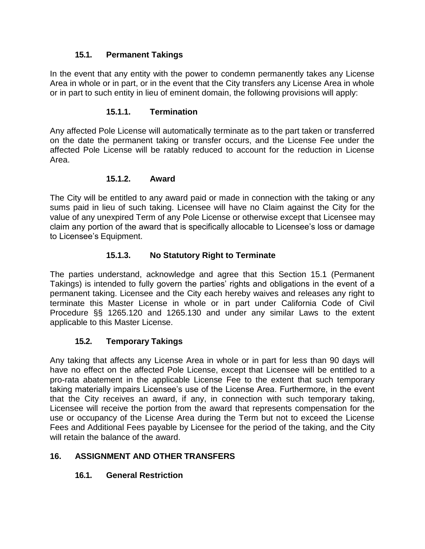#### **15.1. Permanent Takings**

<span id="page-35-0"></span>In the event that any entity with the power to condemn permanently takes any License Area in whole or in part, or in the event that the City transfers any License Area in whole or in part to such entity in lieu of eminent domain, the following provisions will apply:

#### **15.1.1. Termination**

<span id="page-35-1"></span>Any affected Pole License will automatically terminate as to the part taken or transferred on the date the permanent taking or transfer occurs, and the License Fee under the affected Pole License will be ratably reduced to account for the reduction in License Area.

#### **15.1.2. Award**

<span id="page-35-2"></span>The City will be entitled to any award paid or made in connection with the taking or any sums paid in lieu of such taking. Licensee will have no Claim against the City for the value of any unexpired Term of any Pole License or otherwise except that Licensee may claim any portion of the award that is specifically allocable to Licensee's loss or damage to Licensee's Equipment.

## **15.1.3. No Statutory Right to Terminate**

<span id="page-35-3"></span>The parties understand, acknowledge and agree that this Section 15.1 (Permanent Takings) is intended to fully govern the parties' rights and obligations in the event of a permanent taking. Licensee and the City each hereby waives and releases any right to terminate this Master License in whole or in part under California Code of Civil Procedure §§ 1265.120 and 1265.130 and under any similar Laws to the extent applicable to this Master License.

## **15.2. Temporary Takings**

<span id="page-35-4"></span>Any taking that affects any License Area in whole or in part for less than 90 days will have no effect on the affected Pole License, except that Licensee will be entitled to a pro-rata abatement in the applicable License Fee to the extent that such temporary taking materially impairs Licensee's use of the License Area. Furthermore, in the event that the City receives an award, if any, in connection with such temporary taking, Licensee will receive the portion from the award that represents compensation for the use or occupancy of the License Area during the Term but not to exceed the License Fees and Additional Fees payable by Licensee for the period of the taking, and the City will retain the balance of the award.

## <span id="page-35-6"></span><span id="page-35-5"></span>**16. ASSIGNMENT AND OTHER TRANSFERS**

## **16.1. General Restriction**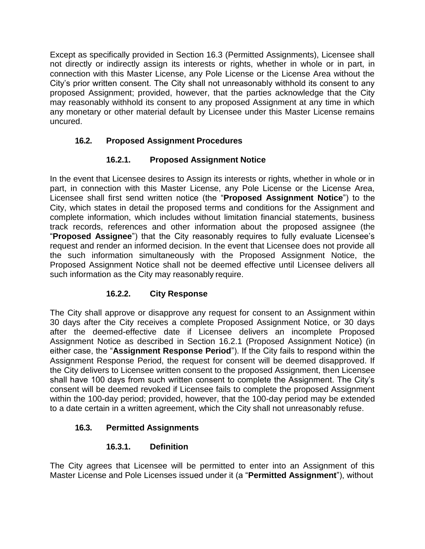Except as specifically provided in Section 16.3 (Permitted Assignments), Licensee shall not directly or indirectly assign its interests or rights, whether in whole or in part, in connection with this Master License, any Pole License or the License Area without the City's prior written consent. The City shall not unreasonably withhold its consent to any proposed Assignment; provided, however, that the parties acknowledge that the City may reasonably withhold its consent to any proposed Assignment at any time in which any monetary or other material default by Licensee under this Master License remains uncured.

#### <span id="page-36-0"></span>**16.2. Proposed Assignment Procedures**

#### **16.2.1. Proposed Assignment Notice**

<span id="page-36-1"></span>In the event that Licensee desires to Assign its interests or rights, whether in whole or in part, in connection with this Master License, any Pole License or the License Area, Licensee shall first send written notice (the "**Proposed Assignment Notice**") to the City, which states in detail the proposed terms and conditions for the Assignment and complete information, which includes without limitation financial statements, business track records, references and other information about the proposed assignee (the "**Proposed Assignee**") that the City reasonably requires to fully evaluate Licensee's request and render an informed decision. In the event that Licensee does not provide all the such information simultaneously with the Proposed Assignment Notice, the Proposed Assignment Notice shall not be deemed effective until Licensee delivers all such information as the City may reasonably require.

## **16.2.2. City Response**

<span id="page-36-2"></span>The City shall approve or disapprove any request for consent to an Assignment within 30 days after the City receives a complete Proposed Assignment Notice, or 30 days after the deemed-effective date if Licensee delivers an incomplete Proposed Assignment Notice as described in Section 16.2.1 (Proposed Assignment Notice) (in either case, the "**Assignment Response Period**"). If the City fails to respond within the Assignment Response Period, the request for consent will be deemed disapproved. If the City delivers to Licensee written consent to the proposed Assignment, then Licensee shall have 100 days from such written consent to complete the Assignment. The City's consent will be deemed revoked if Licensee fails to complete the proposed Assignment within the 100-day period; provided, however, that the 100-day period may be extended to a date certain in a written agreement, which the City shall not unreasonably refuse.

#### <span id="page-36-3"></span>**16.3. Permitted Assignments**

#### **16.3.1. Definition**

<span id="page-36-4"></span>The City agrees that Licensee will be permitted to enter into an Assignment of this Master License and Pole Licenses issued under it (a "**Permitted Assignment**"), without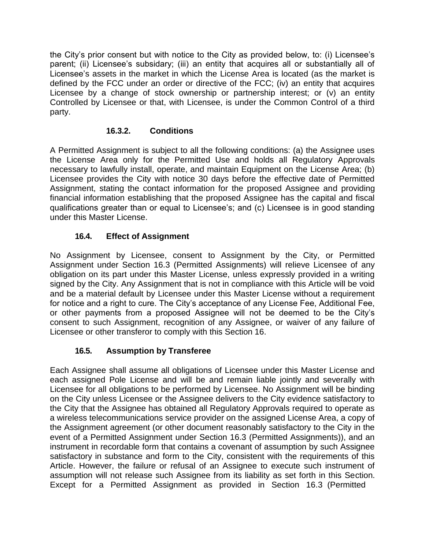the City's prior consent but with notice to the City as provided below, to: (i) Licensee's parent; (ii) Licensee's subsidary; (iii) an entity that acquires all or substantially all of Licensee's assets in the market in which the License Area is located (as the market is defined by the FCC under an order or directive of the FCC; (iv) an entity that acquires Licensee by a change of stock ownership or partnership interest; or (v) an entity Controlled by Licensee or that, with Licensee, is under the Common Control of a third party.

## **16.3.2. Conditions**

<span id="page-37-0"></span>A Permitted Assignment is subject to all the following conditions: (a) the Assignee uses the License Area only for the Permitted Use and holds all Regulatory Approvals necessary to lawfully install, operate, and maintain Equipment on the License Area; (b) Licensee provides the City with notice 30 days before the effective date of Permitted Assignment, stating the contact information for the proposed Assignee and providing financial information establishing that the proposed Assignee has the capital and fiscal qualifications greater than or equal to Licensee's; and (c) Licensee is in good standing under this Master License.

## **16.4. Effect of Assignment**

<span id="page-37-1"></span>No Assignment by Licensee, consent to Assignment by the City, or Permitted Assignment under Section 16.3 (Permitted Assignments) will relieve Licensee of any obligation on its part under this Master License, unless expressly provided in a writing signed by the City. Any Assignment that is not in compliance with this Article will be void and be a material default by Licensee under this Master License without a requirement for notice and a right to cure. The City's acceptance of any License Fee, Additional Fee, or other payments from a proposed Assignee will not be deemed to be the City's consent to such Assignment, recognition of any Assignee, or waiver of any failure of Licensee or other transferor to comply with this Section 16.

## **16.5. Assumption by Transferee**

<span id="page-37-2"></span>Each Assignee shall assume all obligations of Licensee under this Master License and each assigned Pole License and will be and remain liable jointly and severally with Licensee for all obligations to be performed by Licensee. No Assignment will be binding on the City unless Licensee or the Assignee delivers to the City evidence satisfactory to the City that the Assignee has obtained all Regulatory Approvals required to operate as a wireless telecommunications service provider on the assigned License Area, a copy of the Assignment agreement (or other document reasonably satisfactory to the City in the event of a Permitted Assignment under Section 16.3 (Permitted Assignments)), and an instrument in recordable form that contains a covenant of assumption by such Assignee satisfactory in substance and form to the City, consistent with the requirements of this Article. However, the failure or refusal of an Assignee to execute such instrument of assumption will not release such Assignee from its liability as set forth in this Section. Except for a Permitted Assignment as provided in Section 16.3 (Permitted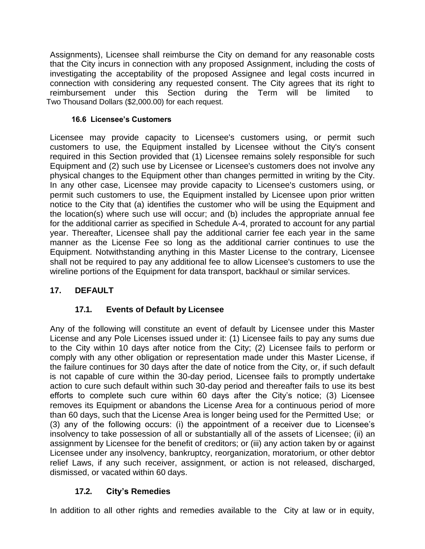Assignments), Licensee shall reimburse the City on demand for any reasonable costs that the City incurs in connection with any proposed Assignment, including the costs of investigating the acceptability of the proposed Assignee and legal costs incurred in connection with considering any requested consent. The City agrees that its right to reimbursement under this Section during the Term will be limited to Two Thousand Dollars (\$2,000.00) for each request.

#### **16.6 Licensee's Customers**

Licensee may provide capacity to Licensee's customers using, or permit such customers to use, the Equipment installed by Licensee without the City's consent required in this Section provided that (1) Licensee remains solely responsible for such Equipment and (2) such use by Licensee or Licensee's customers does not involve any physical changes to the Equipment other than changes permitted in writing by the City. In any other case, Licensee may provide capacity to Licensee's customers using, or permit such customers to use, the Equipment installed by Licensee upon prior written notice to the City that (a) identifies the customer who will be using the Equipment and the location(s) where such use will occur; and (b) includes the appropriate annual fee for the additional carrier as specified in Schedule A-4, prorated to account for any partial year. Thereafter, Licensee shall pay the additional carrier fee each year in the same manner as the License Fee so long as the additional carrier continues to use the Equipment. Notwithstanding anything in this Master License to the contrary, Licensee shall not be required to pay any additional fee to allow Licensee's customers to use the wireline portions of the Equipment for data transport, backhaul or similar services.

## <span id="page-38-1"></span><span id="page-38-0"></span>**17. DEFAULT**

## **17.1. Events of Default by Licensee**

Any of the following will constitute an event of default by Licensee under this Master License and any Pole Licenses issued under it: (1) Licensee fails to pay any sums due to the City within 10 days after notice from the City; (2) Licensee fails to perform or comply with any other obligation or representation made under this Master License, if the failure continues for 30 days after the date of notice from the City, or, if such default is not capable of cure within the 30-day period, Licensee fails to promptly undertake action to cure such default within such 30-day period and thereafter fails to use its best efforts to complete such cure within 60 days after the City's notice; (3) Licensee removes its Equipment or abandons the License Area for a continuous period of more than 60 days, such that the License Area is longer being used for the Permitted Use; or (3) any of the following occurs: (i) the appointment of a receiver due to Licensee's insolvency to take possession of all or substantially all of the assets of Licensee; (ii) an assignment by Licensee for the benefit of creditors; or (iii) any action taken by or against Licensee under any insolvency, bankruptcy, reorganization, moratorium, or other debtor relief Laws, if any such receiver, assignment, or action is not released, discharged, dismissed, or vacated within 60 days.

## **17.2. City's Remedies**

<span id="page-38-2"></span>In addition to all other rights and remedies available to the City at law or in equity,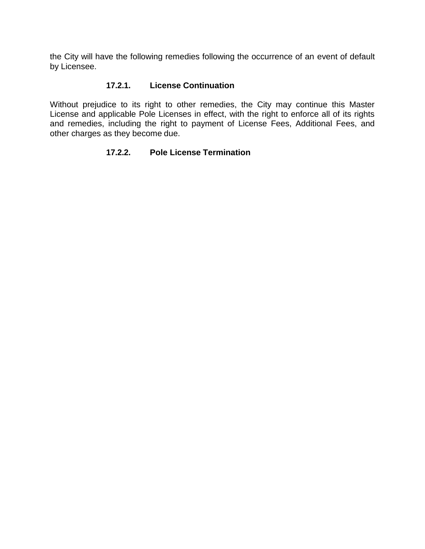the City will have the following remedies following the occurrence of an event of default by Licensee.

#### **17.2.1. License Continuation**

<span id="page-39-1"></span><span id="page-39-0"></span>Without prejudice to its right to other remedies, the City may continue this Master License and applicable Pole Licenses in effect, with the right to enforce all of its rights and remedies, including the right to payment of License Fees, Additional Fees, and other charges as they become due.

#### **17.2.2. Pole License Termination**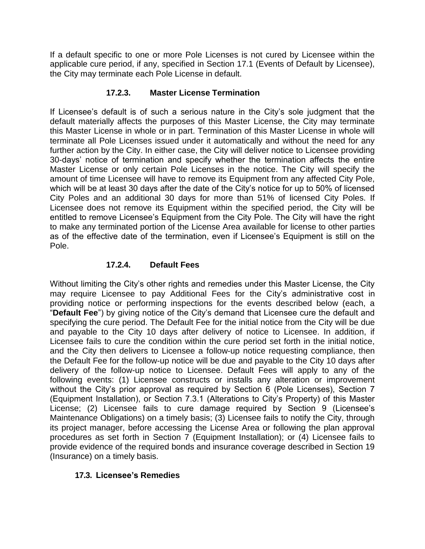If a default specific to one or more Pole Licenses is not cured by Licensee within the applicable cure period, if any, specified in Section 17.1 (Events of Default by Licensee), the City may terminate each Pole License in default.

#### **17.2.3. Master License Termination**

<span id="page-40-0"></span>If Licensee's default is of such a serious nature in the City's sole judgment that the default materially affects the purposes of this Master License, the City may terminate this Master License in whole or in part. Termination of this Master License in whole will terminate all Pole Licenses issued under it automatically and without the need for any further action by the City. In either case, the City will deliver notice to Licensee providing 30-days' notice of termination and specify whether the termination affects the entire Master License or only certain Pole Licenses in the notice. The City will specify the amount of time Licensee will have to remove its Equipment from any affected City Pole, which will be at least 30 days after the date of the City's notice for up to 50% of licensed City Poles and an additional 30 days for more than 51% of licensed City Poles. If Licensee does not remove its Equipment within the specified period, the City will be entitled to remove Licensee's Equipment from the City Pole. The City will have the right to make any terminated portion of the License Area available for license to other parties as of the effective date of the termination, even if Licensee's Equipment is still on the Pole.

#### **17.2.4. Default Fees**

<span id="page-40-1"></span>Without limiting the City's other rights and remedies under this Master License, the City may require Licensee to pay Additional Fees for the City's administrative cost in providing notice or performing inspections for the events described below (each, a "**Default Fee**") by giving notice of the City's demand that Licensee cure the default and specifying the cure period. The Default Fee for the initial notice from the City will be due and payable to the City 10 days after delivery of notice to Licensee. In addition, if Licensee fails to cure the condition within the cure period set forth in the initial notice, and the City then delivers to Licensee a follow-up notice requesting compliance, then the Default Fee for the follow-up notice will be due and payable to the City 10 days after delivery of the follow-up notice to Licensee. Default Fees will apply to any of the following events: (1) Licensee constructs or installs any alteration or improvement without the City's prior approval as required by Section 6 (Pole Licenses), Section 7 (Equipment Installation), or Section 7.3.1 (Alterations to City's Property) of this Master License; (2) Licensee fails to cure damage required by Section 9 (Licensee's Maintenance Obligations) on a timely basis; (3) Licensee fails to notify the City, through its project manager, before accessing the License Area or following the plan approval procedures as set forth in Section 7 (Equipment Installation); or (4) Licensee fails to provide evidence of the required bonds and insurance coverage described in Section 19 (Insurance) on a timely basis.

#### <span id="page-40-2"></span>**17.3. Licensee's Remedies**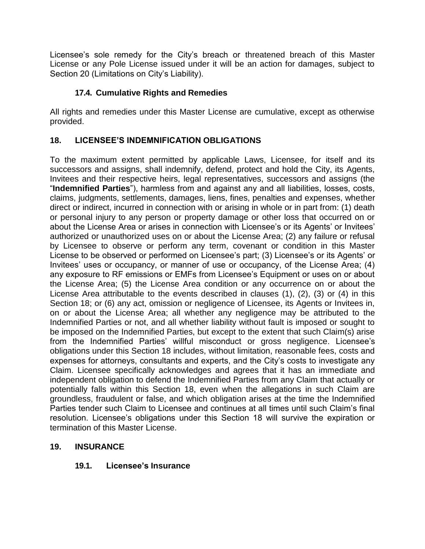Licensee's sole remedy for the City's breach or threatened breach of this Master License or any Pole License issued under it will be an action for damages, subject to Section 20 (Limitations on City's Liability).

#### **17.4. Cumulative Rights and Remedies**

<span id="page-41-0"></span>All rights and remedies under this Master License are cumulative, except as otherwise provided.

#### <span id="page-41-1"></span>**18. LICENSEE'S INDEMNIFICATION OBLIGATIONS**

To the maximum extent permitted by applicable Laws, Licensee, for itself and its successors and assigns, shall indemnify, defend, protect and hold the City, its Agents, Invitees and their respective heirs, legal representatives, successors and assigns (the "**Indemnified Parties**"), harmless from and against any and all liabilities, losses, costs, claims, judgments, settlements, damages, liens, fines, penalties and expenses, whether direct or indirect, incurred in connection with or arising in whole or in part from: (1) death or personal injury to any person or property damage or other loss that occurred on or about the License Area or arises in connection with Licensee's or its Agents' or Invitees' authorized or unauthorized uses on or about the License Area; (2) any failure or refusal by Licensee to observe or perform any term, covenant or condition in this Master License to be observed or performed on Licensee's part; (3) Licensee's or its Agents' or Invitees' uses or occupancy, or manner of use or occupancy, of the License Area; (4) any exposure to RF emissions or EMFs from Licensee's Equipment or uses on or about the License Area; (5) the License Area condition or any occurrence on or about the License Area attributable to the events described in clauses (1), (2), (3) or (4) in this Section 18; or (6) any act, omission or negligence of Licensee, its Agents or Invitees in, on or about the License Area; all whether any negligence may be attributed to the Indemnified Parties or not, and all whether liability without fault is imposed or sought to be imposed on the Indemnified Parties, but except to the extent that such Claim(s) arise from the Indemnified Parties' willful misconduct or gross negligence. Licensee's obligations under this Section 18 includes, without limitation, reasonable fees, costs and expenses for attorneys, consultants and experts, and the City's costs to investigate any Claim. Licensee specifically acknowledges and agrees that it has an immediate and independent obligation to defend the Indemnified Parties from any Claim that actually or potentially falls within this Section 18, even when the allegations in such Claim are groundless, fraudulent or false, and which obligation arises at the time the Indemnified Parties tender such Claim to Licensee and continues at all times until such Claim's final resolution. Licensee's obligations under this Section 18 will survive the expiration or termination of this Master License.

#### <span id="page-41-3"></span><span id="page-41-2"></span>**19. INSURANCE**

#### **19.1. Licensee's Insurance**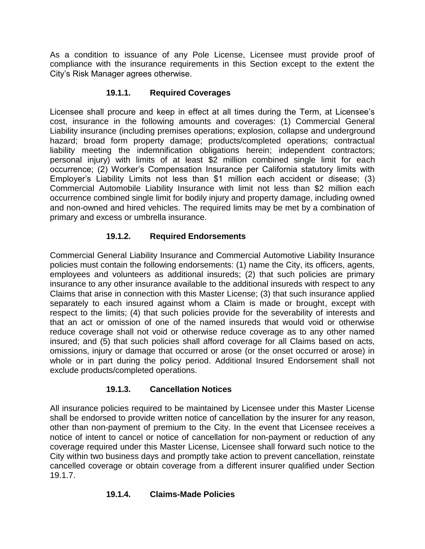As a condition to issuance of any Pole License, Licensee must provide proof of compliance with the insurance requirements in this Section except to the extent the City's Risk Manager agrees otherwise.

## **19.1.1. Required Coverages**

<span id="page-42-0"></span>Licensee shall procure and keep in effect at all times during the Term, at Licensee's cost, insurance in the following amounts and coverages: (1) Commercial General Liability insurance (including premises operations; explosion, collapse and underground hazard; broad form property damage; products/completed operations; contractual liability meeting the indemnification obligations herein; independent contractors; personal injury) with limits of at least \$2 million combined single limit for each occurrence; (2) Worker's Compensation Insurance per California statutory limits with Employer's Liability Limits not less than \$1 million each accident or disease; (3) Commercial Automobile Liability Insurance with limit not less than \$2 million each occurrence combined single limit for bodily injury and property damage, including owned and non-owned and hired vehicles. The required limits may be met by a combination of primary and excess or umbrella insurance.

## **19.1.2. Required Endorsements**

<span id="page-42-1"></span>Commercial General Liability Insurance and Commercial Automotive Liability Insurance policies must contain the following endorsements: (1) name the City, its officers, agents, employees and volunteers as additional insureds; (2) that such policies are primary insurance to any other insurance available to the additional insureds with respect to any Claims that arise in connection with this Master License; (3) that such insurance applied separately to each insured against whom a Claim is made or brought, except with respect to the limits; (4) that such policies provide for the severability of interests and that an act or omission of one of the named insureds that would void or otherwise reduce coverage shall not void or otherwise reduce coverage as to any other named insured; and (5) that such policies shall afford coverage for all Claims based on acts, omissions, injury or damage that occurred or arose (or the onset occurred or arose) in whole or in part during the policy period. Additional Insured Endorsement shall not exclude products/completed operations.

## **19.1.3. Cancellation Notices**

<span id="page-42-2"></span>All insurance policies required to be maintained by Licensee under this Master License shall be endorsed to provide written notice of cancellation by the insurer for any reason, other than non-payment of premium to the City. In the event that Licensee receives a notice of intent to cancel or notice of cancellation for non-payment or reduction of any coverage required under this Master License, Licensee shall forward such notice to the City within two business days and promptly take action to prevent cancellation, reinstate cancelled coverage or obtain coverage from a different insurer qualified under Section 19.1.7.

## <span id="page-42-3"></span>**19.1.4. Claims-Made Policies**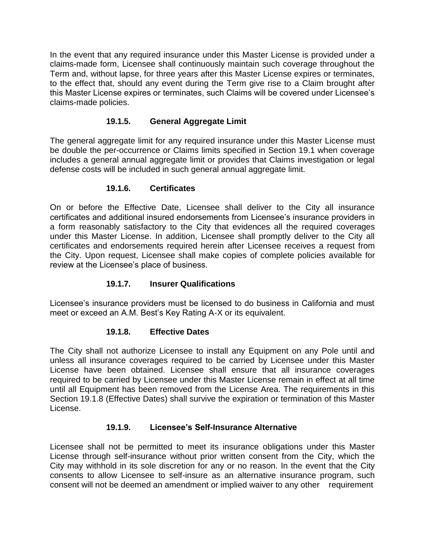In the event that any required insurance under this Master License is provided under a claims-made form, Licensee shall continuously maintain such coverage throughout the Term and, without lapse, for three years after this Master License expires or terminates, to the effect that, should any event during the Term give rise to a Claim brought after this Master License expires or terminates, such Claims will be covered under Licensee's claims-made policies.

## **19.1.5. General Aggregate Limit**

<span id="page-43-0"></span>The general aggregate limit for any required insurance under this Master License must be double the per-occurrence or Claims limits specified in Section 19.1 when coverage includes a general annual aggregate limit or provides that Claims investigation or legal defense costs will be included in such general annual aggregate limit.

#### **19.1.6. Certificates**

<span id="page-43-1"></span>On or before the Effective Date, Licensee shall deliver to the City all insurance certificates and additional insured endorsements from Licensee's insurance providers in a form reasonably satisfactory to the City that evidences all the required coverages under this Master License. In addition, Licensee shall promptly deliver to the City all certificates and endorsements required herein after Licensee receives a request from the City. Upon request, Licensee shall make copies of complete policies available for review at the Licensee's place of business.

## **19.1.7. Insurer Qualifications**

<span id="page-43-2"></span>Licensee's insurance providers must be licensed to do business in California and must meet or exceed an A.M. Best's Key Rating A-X or its equivalent.

## **19.1.8. Effective Dates**

<span id="page-43-3"></span>The City shall not authorize Licensee to install any Equipment on any Pole until and unless all insurance coverages required to be carried by Licensee under this Master License have been obtained. Licensee shall ensure that all insurance coverages required to be carried by Licensee under this Master License remain in effect at all time until all Equipment has been removed from the License Area. The requirements in this Section 19.1.8 (Effective Dates) shall survive the expiration or termination of this Master License.

## **19.1.9. Licensee's Self-Insurance Alternative**

<span id="page-43-4"></span>Licensee shall not be permitted to meet its insurance obligations under this Master License through self-insurance without prior written consent from the City, which the City may withhold in its sole discretion for any or no reason. In the event that the City consents to allow Licensee to self-insure as an alternative insurance program, such consent will not be deemed an amendment or implied waiver to any other requirement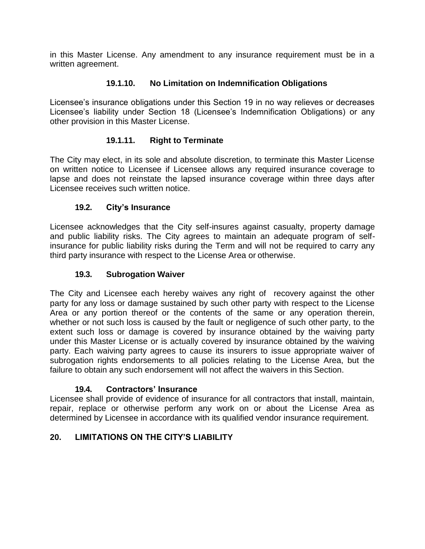in this Master License. Any amendment to any insurance requirement must be in a written agreement.

## **19.1.10. No Limitation on Indemnification Obligations**

<span id="page-44-0"></span>Licensee's insurance obligations under this Section 19 in no way relieves or decreases Licensee's liability under Section 18 (Licensee's Indemnification Obligations) or any other provision in this Master License.

#### **19.1.11. Right to Terminate**

<span id="page-44-1"></span>The City may elect, in its sole and absolute discretion, to terminate this Master License on written notice to Licensee if Licensee allows any required insurance coverage to lapse and does not reinstate the lapsed insurance coverage within three days after Licensee receives such written notice.

#### **19.2. City's Insurance**

<span id="page-44-2"></span>Licensee acknowledges that the City self-insures against casualty, property damage and public liability risks. The City agrees to maintain an adequate program of selfinsurance for public liability risks during the Term and will not be required to carry any third party insurance with respect to the License Area or otherwise.

#### **19.3. Subrogation Waiver**

<span id="page-44-3"></span>The City and Licensee each hereby waives any right of recovery against the other party for any loss or damage sustained by such other party with respect to the License Area or any portion thereof or the contents of the same or any operation therein, whether or not such loss is caused by the fault or negligence of such other party, to the extent such loss or damage is covered by insurance obtained by the waiving party under this Master License or is actually covered by insurance obtained by the waiving party. Each waiving party agrees to cause its insurers to issue appropriate waiver of subrogation rights endorsements to all policies relating to the License Area, but the failure to obtain any such endorsement will not affect the waivers in this Section.

#### **19.4. Contractors' Insurance**

<span id="page-44-4"></span>Licensee shall provide of evidence of insurance for all contractors that install, maintain, repair, replace or otherwise perform any work on or about the License Area as determined by Licensee in accordance with its qualified vendor insurance requirement.

#### <span id="page-44-5"></span>**20. LIMITATIONS ON THE CITY'S LIABILITY**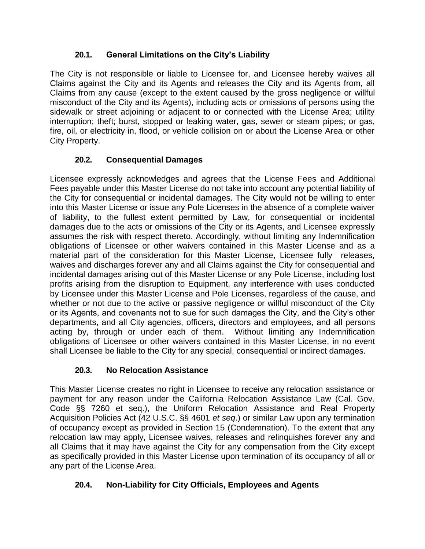## **20.1. General Limitations on the City's Liability**

<span id="page-45-0"></span>The City is not responsible or liable to Licensee for, and Licensee hereby waives all Claims against the City and its Agents and releases the City and its Agents from, all Claims from any cause (except to the extent caused by the gross negligence or willful misconduct of the City and its Agents), including acts or omissions of persons using the sidewalk or street adjoining or adjacent to or connected with the License Area; utility interruption; theft; burst, stopped or leaking water, gas, sewer or steam pipes; or gas, fire, oil, or electricity in, flood, or vehicle collision on or about the License Area or other City Property.

## **20.2. Consequential Damages**

<span id="page-45-1"></span>Licensee expressly acknowledges and agrees that the License Fees and Additional Fees payable under this Master License do not take into account any potential liability of the City for consequential or incidental damages. The City would not be willing to enter into this Master License or issue any Pole Licenses in the absence of a complete waiver of liability, to the fullest extent permitted by Law, for consequential or incidental damages due to the acts or omissions of the City or its Agents, and Licensee expressly assumes the risk with respect thereto. Accordingly, without limiting any Indemnification obligations of Licensee or other waivers contained in this Master License and as a material part of the consideration for this Master License, Licensee fully releases, waives and discharges forever any and all Claims against the City for consequential and incidental damages arising out of this Master License or any Pole License, including lost profits arising from the disruption to Equipment, any interference with uses conducted by Licensee under this Master License and Pole Licenses, regardless of the cause, and whether or not due to the active or passive negligence or willful misconduct of the City or its Agents, and covenants not to sue for such damages the City, and the City's other departments, and all City agencies, officers, directors and employees, and all persons acting by, through or under each of them. Without limiting any Indemnification obligations of Licensee or other waivers contained in this Master License, in no event shall Licensee be liable to the City for any special, consequential or indirect damages.

## **20.3. No Relocation Assistance**

<span id="page-45-2"></span>This Master License creates no right in Licensee to receive any relocation assistance or payment for any reason under the California Relocation Assistance Law (Cal. Gov. Code §§ 7260 et seq.), the Uniform Relocation Assistance and Real Property Acquisition Policies Act (42 U.S.C. §§ 4601 *et seq*.) or similar Law upon any termination of occupancy except as provided in Section 15 (Condemnation). To the extent that any relocation law may apply, Licensee waives, releases and relinquishes forever any and all Claims that it may have against the City for any compensation from the City except as specifically provided in this Master License upon termination of its occupancy of all or any part of the License Area.

## <span id="page-45-3"></span>**20.4. Non-Liability for City Officials, Employees and Agents**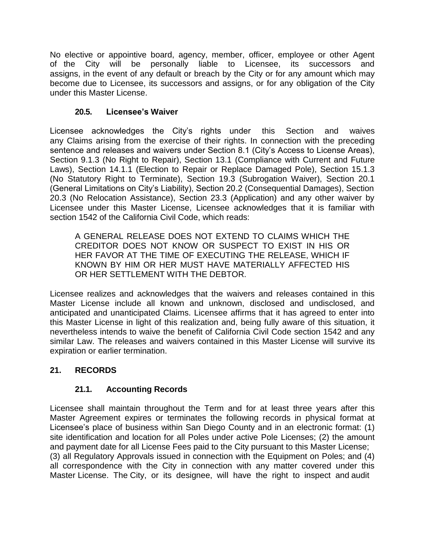No elective or appointive board, agency, member, officer, employee or other Agent of the City will be personally liable to Licensee, its successors and assigns, in the event of any default or breach by the City or for any amount which may become due to Licensee, its successors and assigns, or for any obligation of the City under this Master License.

#### **20.5. Licensee's Waiver**

<span id="page-46-0"></span>Licensee acknowledges the City's rights under this Section and waives any Claims arising from the exercise of their rights. In connection with the preceding sentence and releases and waivers under Section 8.1 (City's Access to License Areas), Section 9.1.3 (No Right to Repair), Section 13.1 (Compliance with Current and Future Laws), Section 14.1.1 (Election to Repair or Replace Damaged Pole), Section 15.1.3 (No Statutory Right to Terminate), Section 19.3 (Subrogation Waiver), Section 20.1 (General Limitations on City's Liability), Section 20.2 (Consequential Damages), Section 20.3 (No Relocation Assistance), Section 23.3 (Application) and any other waiver by Licensee under this Master License, Licensee acknowledges that it is familiar with section 1542 of the California Civil Code, which reads:

A GENERAL RELEASE DOES NOT EXTEND TO CLAIMS WHICH THE CREDITOR DOES NOT KNOW OR SUSPECT TO EXIST IN HIS OR HER FAVOR AT THE TIME OF EXECUTING THE RELEASE, WHICH IF KNOWN BY HIM OR HER MUST HAVE MATERIALLY AFFECTED HIS OR HER SETTLEMENT WITH THE DEBTOR.

Licensee realizes and acknowledges that the waivers and releases contained in this Master License include all known and unknown, disclosed and undisclosed, and anticipated and unanticipated Claims. Licensee affirms that it has agreed to enter into this Master License in light of this realization and, being fully aware of this situation, it nevertheless intends to waive the benefit of California Civil Code section 1542 and any similar Law. The releases and waivers contained in this Master License will survive its expiration or earlier termination.

## <span id="page-46-1"></span>**21. RECORDS**

## **21.1. Accounting Records**

<span id="page-46-2"></span>Licensee shall maintain throughout the Term and for at least three years after this Master Agreement expires or terminates the following records in physical format at Licensee's place of business within San Diego County and in an electronic format: (1) site identification and location for all Poles under active Pole Licenses; (2) the amount and payment date for all License Fees paid to the City pursuant to this Master License; (3) all Regulatory Approvals issued in connection with the Equipment on Poles; and (4) all correspondence with the City in connection with any matter covered under this Master License. The City, or its designee, will have the right to inspect and audit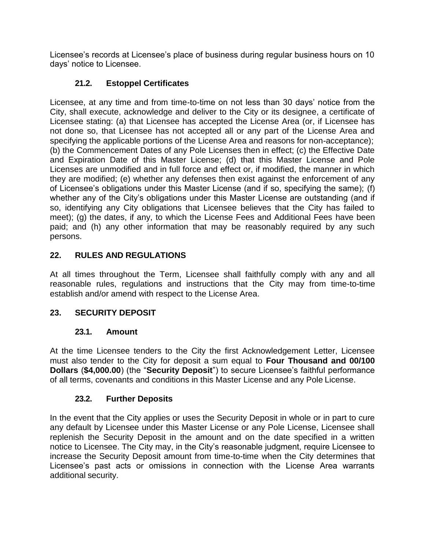Licensee's records at Licensee's place of business during regular business hours on 10 days' notice to Licensee.

## **21.2. Estoppel Certificates**

<span id="page-47-0"></span>Licensee, at any time and from time-to-time on not less than 30 days' notice from the City, shall execute, acknowledge and deliver to the City or its designee, a certificate of Licensee stating: (a) that Licensee has accepted the License Area (or, if Licensee has not done so, that Licensee has not accepted all or any part of the License Area and specifying the applicable portions of the License Area and reasons for non-acceptance); (b) the Commencement Dates of any Pole Licenses then in effect; (c) the Effective Date and Expiration Date of this Master License; (d) that this Master License and Pole Licenses are unmodified and in full force and effect or, if modified, the manner in which they are modified; (e) whether any defenses then exist against the enforcement of any of Licensee's obligations under this Master License (and if so, specifying the same); (f) whether any of the City's obligations under this Master License are outstanding (and if so, identifying any City obligations that Licensee believes that the City has failed to meet); (g) the dates, if any, to which the License Fees and Additional Fees have been paid; and (h) any other information that may be reasonably required by any such persons.

## <span id="page-47-1"></span>**22. RULES AND REGULATIONS**

At all times throughout the Term, Licensee shall faithfully comply with any and all reasonable rules, regulations and instructions that the City may from time-to-time establish and/or amend with respect to the License Area.

## <span id="page-47-2"></span>**23. SECURITY DEPOSIT**

## **23.1. Amount**

<span id="page-47-3"></span>At the time Licensee tenders to the City the first Acknowledgement Letter, Licensee must also tender to the City for deposit a sum equal to **Four Thousand and 00/100 Dollars** (**\$4,000.00**) (the "**Security Deposit**") to secure Licensee's faithful performance of all terms, covenants and conditions in this Master License and any Pole License.

## **23.2. Further Deposits**

<span id="page-47-4"></span>In the event that the City applies or uses the Security Deposit in whole or in part to cure any default by Licensee under this Master License or any Pole License, Licensee shall replenish the Security Deposit in the amount and on the date specified in a written notice to Licensee. The City may, in the City's reasonable judgment, require Licensee to increase the Security Deposit amount from time-to-time when the City determines that Licensee's past acts or omissions in connection with the License Area warrants additional security.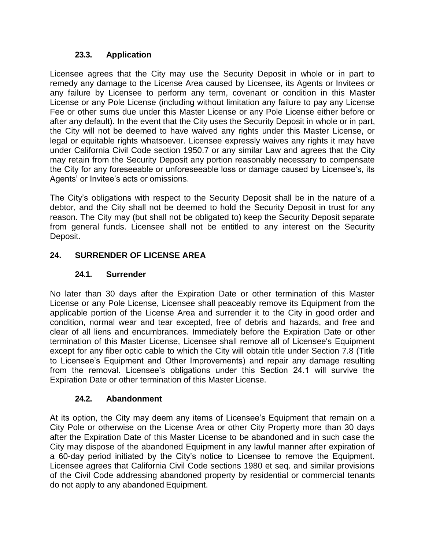#### **23.3. Application**

<span id="page-48-0"></span>Licensee agrees that the City may use the Security Deposit in whole or in part to remedy any damage to the License Area caused by Licensee, its Agents or Invitees or any failure by Licensee to perform any term, covenant or condition in this Master License or any Pole License (including without limitation any failure to pay any License Fee or other sums due under this Master License or any Pole License either before or after any default). In the event that the City uses the Security Deposit in whole or in part, the City will not be deemed to have waived any rights under this Master License, or legal or equitable rights whatsoever. Licensee expressly waives any rights it may have under California Civil Code section 1950.7 or any similar Law and agrees that the City may retain from the Security Deposit any portion reasonably necessary to compensate the City for any foreseeable or unforeseeable loss or damage caused by Licensee's, its Agents' or Invitee's acts or omissions.

The City's obligations with respect to the Security Deposit shall be in the nature of a debtor, and the City shall not be deemed to hold the Security Deposit in trust for any reason. The City may (but shall not be obligated to) keep the Security Deposit separate from general funds. Licensee shall not be entitled to any interest on the Security Deposit.

#### <span id="page-48-1"></span>**24. SURRENDER OF LICENSE AREA**

#### **24.1. Surrender**

<span id="page-48-2"></span>No later than 30 days after the Expiration Date or other termination of this Master License or any Pole License, Licensee shall peaceably remove its Equipment from the applicable portion of the License Area and surrender it to the City in good order and condition, normal wear and tear excepted, free of debris and hazards, and free and clear of all liens and encumbrances. Immediately before the Expiration Date or other termination of this Master License, Licensee shall remove all of Licensee's Equipment except for any fiber optic cable to which the City will obtain title under Section 7.8 (Title to Licensee's Equipment and Other Improvements) and repair any damage resulting from the removal. Licensee's obligations under this Section 24.1 will survive the Expiration Date or other termination of this Master License.

#### **24.2. Abandonment**

<span id="page-48-3"></span>At its option, the City may deem any items of Licensee's Equipment that remain on a City Pole or otherwise on the License Area or other City Property more than 30 days after the Expiration Date of this Master License to be abandoned and in such case the City may dispose of the abandoned Equipment in any lawful manner after expiration of a 60-day period initiated by the City's notice to Licensee to remove the Equipment. Licensee agrees that California Civil Code sections 1980 et seq. and similar provisions of the Civil Code addressing abandoned property by residential or commercial tenants do not apply to any abandoned Equipment.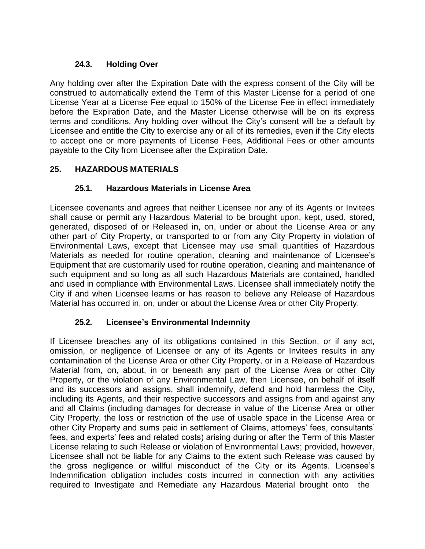## **24.3. Holding Over**

<span id="page-49-0"></span>Any holding over after the Expiration Date with the express consent of the City will be construed to automatically extend the Term of this Master License for a period of one License Year at a License Fee equal to 150% of the License Fee in effect immediately before the Expiration Date, and the Master License otherwise will be on its express terms and conditions. Any holding over without the City's consent will be a default by Licensee and entitle the City to exercise any or all of its remedies, even if the City elects to accept one or more payments of License Fees, Additional Fees or other amounts payable to the City from Licensee after the Expiration Date.

## <span id="page-49-1"></span>**25. HAZARDOUS MATERIALS**

## **25.1. Hazardous Materials in License Area**

<span id="page-49-2"></span>Licensee covenants and agrees that neither Licensee nor any of its Agents or Invitees shall cause or permit any Hazardous Material to be brought upon, kept, used, stored, generated, disposed of or Released in, on, under or about the License Area or any other part of City Property, or transported to or from any City Property in violation of Environmental Laws, except that Licensee may use small quantities of Hazardous Materials as needed for routine operation, cleaning and maintenance of Licensee's Equipment that are customarily used for routine operation, cleaning and maintenance of such equipment and so long as all such Hazardous Materials are contained, handled and used in compliance with Environmental Laws. Licensee shall immediately notify the City if and when Licensee learns or has reason to believe any Release of Hazardous Material has occurred in, on, under or about the License Area or other City Property.

## **25.2. Licensee's Environmental Indemnity**

<span id="page-49-3"></span>If Licensee breaches any of its obligations contained in this Section, or if any act, omission, or negligence of Licensee or any of its Agents or Invitees results in any contamination of the License Area or other City Property, or in a Release of Hazardous Material from, on, about, in or beneath any part of the License Area or other City Property, or the violation of any Environmental Law, then Licensee, on behalf of itself and its successors and assigns, shall indemnify, defend and hold harmless the City, including its Agents, and their respective successors and assigns from and against any and all Claims (including damages for decrease in value of the License Area or other City Property, the loss or restriction of the use of usable space in the License Area or other City Property and sums paid in settlement of Claims, attorneys' fees, consultants' fees, and experts' fees and related costs) arising during or after the Term of this Master License relating to such Release or violation of Environmental Laws; provided, however, Licensee shall not be liable for any Claims to the extent such Release was caused by the gross negligence or willful misconduct of the City or its Agents. Licensee's Indemnification obligation includes costs incurred in connection with any activities required to Investigate and Remediate any Hazardous Material brought onto the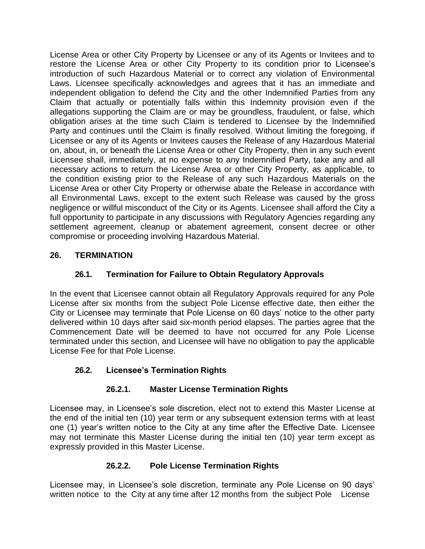License Area or other City Property by Licensee or any of its Agents or Invitees and to restore the License Area or other City Property to its condition prior to Licensee's introduction of such Hazardous Material or to correct any violation of Environmental Laws. Licensee specifically acknowledges and agrees that it has an immediate and independent obligation to defend the City and the other Indemnified Parties from any Claim that actually or potentially falls within this Indemnity provision even if the allegations supporting the Claim are or may be groundless, fraudulent, or false, which obligation arises at the time such Claim is tendered to Licensee by the Indemnified Party and continues until the Claim is finally resolved. Without limiting the foregoing, if Licensee or any of its Agents or Invitees causes the Release of any Hazardous Material on, about, in, or beneath the License Area or other City Property, then in any such event Licensee shall, immediately, at no expense to any Indemnified Party, take any and all necessary actions to return the License Area or other City Property, as applicable, to the condition existing prior to the Release of any such Hazardous Materials on the License Area or other City Property or otherwise abate the Release in accordance with all Environmental Laws, except to the extent such Release was caused by the gross negligence or willful misconduct of the City or its Agents. Licensee shall afford the City a full opportunity to participate in any discussions with Regulatory Agencies regarding any settlement agreement, cleanup or abatement agreement, consent decree or other compromise or proceeding involving Hazardous Material.

## <span id="page-50-0"></span>**26. TERMINATION**

#### **26.1. Termination for Failure to Obtain Regulatory Approvals**

<span id="page-50-1"></span>In the event that Licensee cannot obtain all Regulatory Approvals required for any Pole License after six months from the subject Pole License effective date, then either the City or Licensee may terminate that Pole License on 60 days' notice to the other party delivered within 10 days after said six-month period elapses. The parties agree that the Commencement Date will be deemed to have not occurred for any Pole License terminated under this section, and Licensee will have no obligation to pay the applicable License Fee for that Pole License.

#### <span id="page-50-2"></span>**26.2. Licensee's Termination Rights**

#### **26.2.1. Master License Termination Rights**

<span id="page-50-3"></span>Licensee may, in Licensee's sole discretion, elect not to extend this Master License at the end of the initial ten (10) year term or any subsequent extension terms with at least one (1) year's written notice to the City at any time after the Effective Date. Licensee may not terminate this Master License during the initial ten (10) year term except as expressly provided in this Master License.

## **26.2.2. Pole License Termination Rights**

<span id="page-50-4"></span>Licensee may, in Licensee's sole discretion, terminate any Pole License on 90 days' written notice to the City at any time after 12 months from the subject Pole License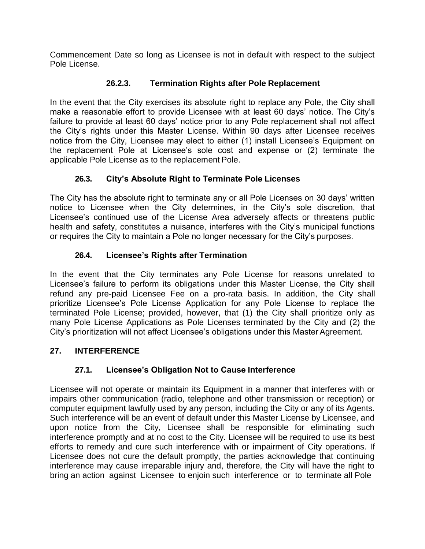Commencement Date so long as Licensee is not in default with respect to the subject Pole License.

## **26.2.3. Termination Rights after Pole Replacement**

<span id="page-51-0"></span>In the event that the City exercises its absolute right to replace any Pole, the City shall make a reasonable effort to provide Licensee with at least 60 days' notice. The City's failure to provide at least 60 days' notice prior to any Pole replacement shall not affect the City's rights under this Master License. Within 90 days after Licensee receives notice from the City, Licensee may elect to either (1) install Licensee's Equipment on the replacement Pole at Licensee's sole cost and expense or (2) terminate the applicable Pole License as to the replacement Pole.

## **26.3. City's Absolute Right to Terminate Pole Licenses**

<span id="page-51-1"></span>The City has the absolute right to terminate any or all Pole Licenses on 30 days' written notice to Licensee when the City determines, in the City's sole discretion, that Licensee's continued use of the License Area adversely affects or threatens public health and safety, constitutes a nuisance, interferes with the City's municipal functions or requires the City to maintain a Pole no longer necessary for the City's purposes.

## **26.4. Licensee's Rights after Termination**

<span id="page-51-2"></span>In the event that the City terminates any Pole License for reasons unrelated to Licensee's failure to perform its obligations under this Master License, the City shall refund any pre-paid Licensee Fee on a pro-rata basis. In addition, the City shall prioritize Licensee's Pole License Application for any Pole License to replace the terminated Pole License; provided, however, that (1) the City shall prioritize only as many Pole License Applications as Pole Licenses terminated by the City and (2) the City's prioritization will not affect Licensee's obligations under this Master Agreement.

## <span id="page-51-3"></span>**27. INTERFERENCE**

## **27.1. Licensee's Obligation Not to Cause Interference**

<span id="page-51-4"></span>Licensee will not operate or maintain its Equipment in a manner that interferes with or impairs other communication (radio, telephone and other transmission or reception) or computer equipment lawfully used by any person, including the City or any of its Agents. Such interference will be an event of default under this Master License by Licensee, and upon notice from the City, Licensee shall be responsible for eliminating such interference promptly and at no cost to the City. Licensee will be required to use its best efforts to remedy and cure such interference with or impairment of City operations. If Licensee does not cure the default promptly, the parties acknowledge that continuing interference may cause irreparable injury and, therefore, the City will have the right to bring an action against Licensee to enjoin such interference or to terminate all Pole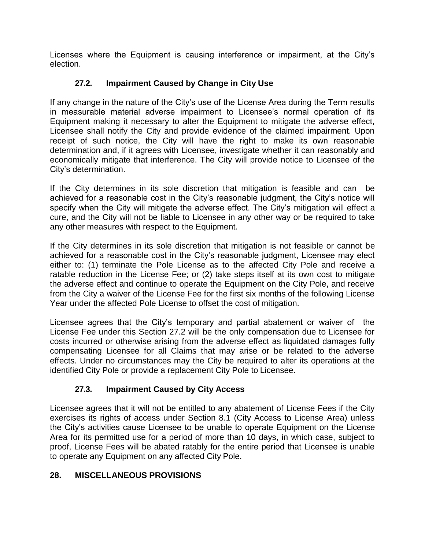Licenses where the Equipment is causing interference or impairment, at the City's election.

## **27.2. Impairment Caused by Change in City Use**

<span id="page-52-0"></span>If any change in the nature of the City's use of the License Area during the Term results in measurable material adverse impairment to Licensee's normal operation of its Equipment making it necessary to alter the Equipment to mitigate the adverse effect, Licensee shall notify the City and provide evidence of the claimed impairment. Upon receipt of such notice, the City will have the right to make its own reasonable determination and, if it agrees with Licensee, investigate whether it can reasonably and economically mitigate that interference. The City will provide notice to Licensee of the City's determination.

If the City determines in its sole discretion that mitigation is feasible and can be achieved for a reasonable cost in the City's reasonable judgment, the City's notice will specify when the City will mitigate the adverse effect. The City's mitigation will effect a cure, and the City will not be liable to Licensee in any other way or be required to take any other measures with respect to the Equipment.

If the City determines in its sole discretion that mitigation is not feasible or cannot be achieved for a reasonable cost in the City's reasonable judgment, Licensee may elect either to: (1) terminate the Pole License as to the affected City Pole and receive a ratable reduction in the License Fee; or (2) take steps itself at its own cost to mitigate the adverse effect and continue to operate the Equipment on the City Pole, and receive from the City a waiver of the License Fee for the first six months of the following License Year under the affected Pole License to offset the cost of mitigation.

Licensee agrees that the City's temporary and partial abatement or waiver of the License Fee under this Section 27.2 will be the only compensation due to Licensee for costs incurred or otherwise arising from the adverse effect as liquidated damages fully compensating Licensee for all Claims that may arise or be related to the adverse effects. Under no circumstances may the City be required to alter its operations at the identified City Pole or provide a replacement City Pole to Licensee.

## **27.3. Impairment Caused by City Access**

<span id="page-52-1"></span>Licensee agrees that it will not be entitled to any abatement of License Fees if the City exercises its rights of access under Section 8.1 (City Access to License Area) unless the City's activities cause Licensee to be unable to operate Equipment on the License Area for its permitted use for a period of more than 10 days, in which case, subject to proof, License Fees will be abated ratably for the entire period that Licensee is unable to operate any Equipment on any affected City Pole.

## <span id="page-52-2"></span>**28. MISCELLANEOUS PROVISIONS**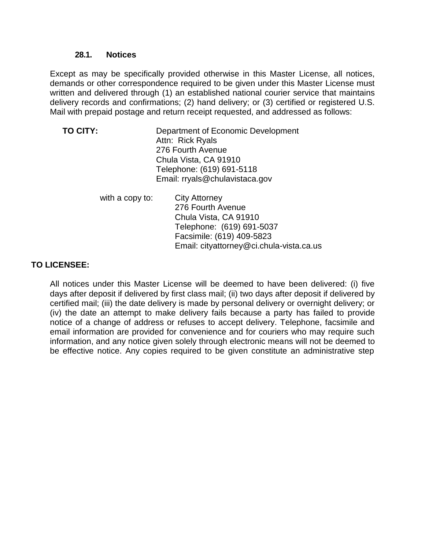#### **28.1. Notices**

<span id="page-53-0"></span>Except as may be specifically provided otherwise in this Master License, all notices, demands or other correspondence required to be given under this Master License must written and delivered through (1) an established national courier service that maintains delivery records and confirmations; (2) hand delivery; or (3) certified or registered U.S. Mail with prepaid postage and return receipt requested, and addressed as follows:

| TO CITY: | Department of Economic Development |
|----------|------------------------------------|
|          | Attn: Rick Ryals                   |
|          | 276 Fourth Avenue                  |
|          | Chula Vista, CA 91910              |
|          | Telephone: (619) 691-5118          |
|          | Email: rryals@chulavistaca.gov     |
|          |                                    |

| with a copy to: | <b>City Attorney</b>                     |
|-----------------|------------------------------------------|
|                 | 276 Fourth Avenue                        |
|                 | Chula Vista, CA 91910                    |
|                 | Telephone: (619) 691-5037                |
|                 | Facsimile: (619) 409-5823                |
|                 | Email: cityattorney@ci.chula-vista.ca.us |

#### **TO LICENSEE:**

All notices under this Master License will be deemed to have been delivered: (i) five days after deposit if delivered by first class mail; (ii) two days after deposit if delivered by certified mail; (iii) the date delivery is made by personal delivery or overnight delivery; or (iv) the date an attempt to make delivery fails because a party has failed to provide notice of a change of address or refuses to accept delivery. Telephone, facsimile and email information are provided for convenience and for couriers who may require such information, and any notice given solely through electronic means will not be deemed to be effective notice. Any copies required to be given constitute an administrative step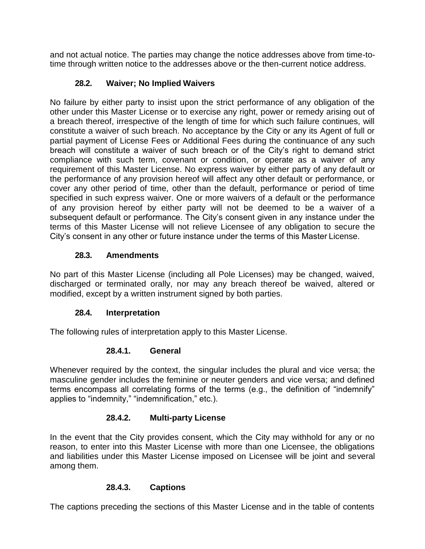and not actual notice. The parties may change the notice addresses above from time-totime through written notice to the addresses above or the then-current notice address.

## **28.2. Waiver; No Implied Waivers**

<span id="page-54-0"></span>No failure by either party to insist upon the strict performance of any obligation of the other under this Master License or to exercise any right, power or remedy arising out of a breach thereof, irrespective of the length of time for which such failure continues, will constitute a waiver of such breach. No acceptance by the City or any its Agent of full or partial payment of License Fees or Additional Fees during the continuance of any such breach will constitute a waiver of such breach or of the City's right to demand strict compliance with such term, covenant or condition, or operate as a waiver of any requirement of this Master License. No express waiver by either party of any default or the performance of any provision hereof will affect any other default or performance, or cover any other period of time, other than the default, performance or period of time specified in such express waiver. One or more waivers of a default or the performance of any provision hereof by either party will not be deemed to be a waiver of a subsequent default or performance. The City's consent given in any instance under the terms of this Master License will not relieve Licensee of any obligation to secure the City's consent in any other or future instance under the terms of this Master License.

## **28.3. Amendments**

<span id="page-54-1"></span>No part of this Master License (including all Pole Licenses) may be changed, waived, discharged or terminated orally, nor may any breach thereof be waived, altered or modified, except by a written instrument signed by both parties.

## **28.4. Interpretation**

<span id="page-54-2"></span>The following rules of interpretation apply to this Master License.

## **28.4.1. General**

<span id="page-54-3"></span>Whenever required by the context, the singular includes the plural and vice versa; the masculine gender includes the feminine or neuter genders and vice versa; and defined terms encompass all correlating forms of the terms (e.g., the definition of "indemnify" applies to "indemnity," "indemnification," etc.).

## **28.4.2. Multi-party License**

<span id="page-54-4"></span>In the event that the City provides consent, which the City may withhold for any or no reason, to enter into this Master License with more than one Licensee, the obligations and liabilities under this Master License imposed on Licensee will be joint and several among them.

## **28.4.3. Captions**

<span id="page-54-5"></span>The captions preceding the sections of this Master License and in the table of contents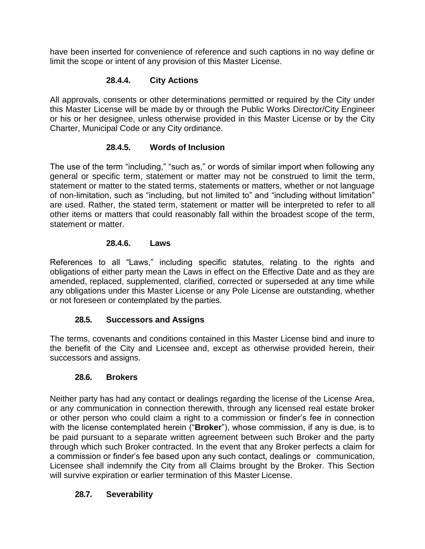have been inserted for convenience of reference and such captions in no way define or limit the scope or intent of any provision of this Master License.

#### **28.4.4. City Actions**

<span id="page-55-0"></span>All approvals, consents or other determinations permitted or required by the City under this Master License will be made by or through the Public Works Director/City Engineer or his or her designee, unless otherwise provided in this Master License or by the City Charter, Municipal Code or any City ordinance.

#### **28.4.5. Words of Inclusion**

<span id="page-55-1"></span>The use of the term "including," "such as," or words of similar import when following any general or specific term, statement or matter may not be construed to limit the term, statement or matter to the stated terms, statements or matters, whether or not language of non-limitation, such as "including, but not limited to" and "including without limitation" are used. Rather, the stated term, statement or matter will be interpreted to refer to all other items or matters that could reasonably fall within the broadest scope of the term, statement or matter.

#### **28.4.6. Laws**

<span id="page-55-2"></span>References to all "Laws," including specific statutes, relating to the rights and obligations of either party mean the Laws in effect on the Effective Date and as they are amended, replaced, supplemented, clarified, corrected or superseded at any time while any obligations under this Master License or any Pole License are outstanding, whether or not foreseen or contemplated by the parties.

#### **28.5. Successors and Assigns**

<span id="page-55-3"></span>The terms, covenants and conditions contained in this Master License bind and inure to the benefit of the City and Licensee and, except as otherwise provided herein, their successors and assigns.

#### **28.6. Brokers**

<span id="page-55-4"></span>Neither party has had any contact or dealings regarding the license of the License Area, or any communication in connection therewith, through any licensed real estate broker or other person who could claim a right to a commission or finder's fee in connection with the license contemplated herein ("**Broker**"), whose commission, if any is due, is to be paid pursuant to a separate written agreement between such Broker and the party through which such Broker contracted. In the event that any Broker perfects a claim for a commission or finder's fee based upon any such contact, dealings or communication, Licensee shall indemnify the City from all Claims brought by the Broker. This Section will survive expiration or earlier termination of this Master License.

#### <span id="page-55-5"></span>**28.7. Severability**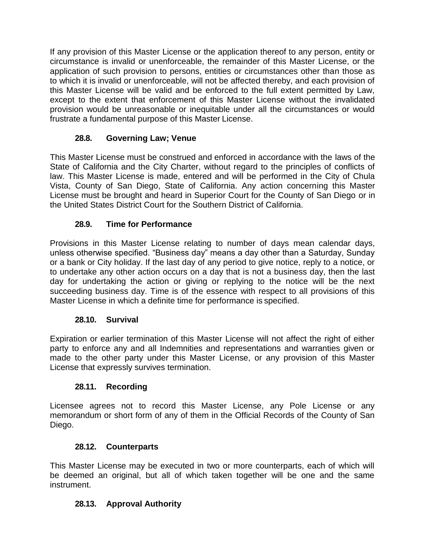If any provision of this Master License or the application thereof to any person, entity or circumstance is invalid or unenforceable, the remainder of this Master License, or the application of such provision to persons, entities or circumstances other than those as to which it is invalid or unenforceable, will not be affected thereby, and each provision of this Master License will be valid and be enforced to the full extent permitted by Law, except to the extent that enforcement of this Master License without the invalidated provision would be unreasonable or inequitable under all the circumstances or would frustrate a fundamental purpose of this Master License.

#### **28.8. Governing Law; Venue**

<span id="page-56-0"></span>This Master License must be construed and enforced in accordance with the laws of the State of California and the City Charter, without regard to the principles of conflicts of law. This Master License is made, entered and will be performed in the City of Chula Vista, County of San Diego, State of California. Any action concerning this Master License must be brought and heard in Superior Court for the County of San Diego or in the United States District Court for the Southern District of California.

#### **28.9. Time for Performance**

<span id="page-56-1"></span>Provisions in this Master License relating to number of days mean calendar days, unless otherwise specified. "Business day" means a day other than a Saturday, Sunday or a bank or City holiday. If the last day of any period to give notice, reply to a notice, or to undertake any other action occurs on a day that is not a business day, then the last day for undertaking the action or giving or replying to the notice will be the next succeeding business day. Time is of the essence with respect to all provisions of this Master License in which a definite time for performance is specified.

#### **28.10. Survival**

<span id="page-56-2"></span>Expiration or earlier termination of this Master License will not affect the right of either party to enforce any and all Indemnities and representations and warranties given or made to the other party under this Master License, or any provision of this Master License that expressly survives termination.

#### **28.11. Recording**

<span id="page-56-3"></span>Licensee agrees not to record this Master License, any Pole License or any memorandum or short form of any of them in the Official Records of the County of San Diego.

#### **28.12. Counterparts**

<span id="page-56-4"></span>This Master License may be executed in two or more counterparts, each of which will be deemed an original, but all of which taken together will be one and the same instrument.

#### <span id="page-56-5"></span>**28.13. Approval Authority**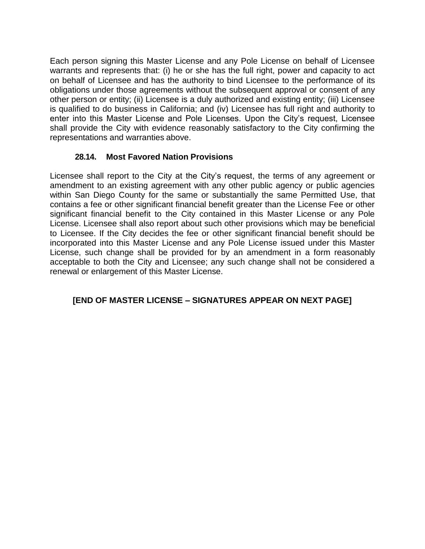Each person signing this Master License and any Pole License on behalf of Licensee warrants and represents that: (i) he or she has the full right, power and capacity to act on behalf of Licensee and has the authority to bind Licensee to the performance of its obligations under those agreements without the subsequent approval or consent of any other person or entity; (ii) Licensee is a duly authorized and existing entity; (iii) Licensee is qualified to do business in California; and (iv) Licensee has full right and authority to enter into this Master License and Pole Licenses. Upon the City's request, Licensee shall provide the City with evidence reasonably satisfactory to the City confirming the representations and warranties above.

#### **28.14. Most Favored Nation Provisions**

<span id="page-57-0"></span>Licensee shall report to the City at the City's request, the terms of any agreement or amendment to an existing agreement with any other public agency or public agencies within San Diego County for the same or substantially the same Permitted Use, that contains a fee or other significant financial benefit greater than the License Fee or other significant financial benefit to the City contained in this Master License or any Pole License. Licensee shall also report about such other provisions which may be beneficial to Licensee. If the City decides the fee or other significant financial benefit should be incorporated into this Master License and any Pole License issued under this Master License, such change shall be provided for by an amendment in a form reasonably acceptable to both the City and Licensee; any such change shall not be considered a renewal or enlargement of this Master License.

#### **[END OF MASTER LICENSE – SIGNATURES APPEAR ON NEXT PAGE]**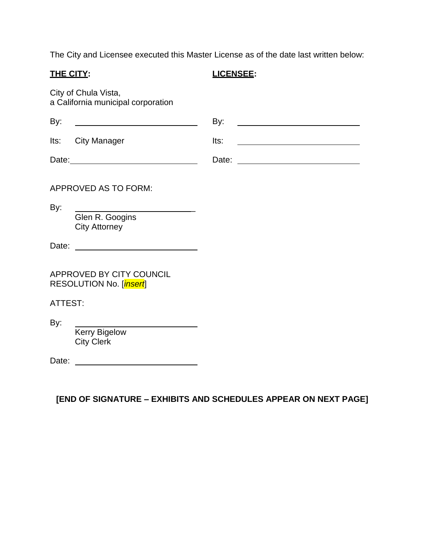The City and Licensee executed this Master License as of the date last written below:

**THE CITY: LICENSEE:**

City of Chula Vista, a California municipal corporation

| By:     |                                                     | By:  | <u> 1989 - Jan Samuel Barbara, martin di</u>                                                                         |
|---------|-----------------------------------------------------|------|----------------------------------------------------------------------------------------------------------------------|
| lts:    | <b>City Manager</b>                                 | Its: | <u> 1989 - Johann Barbara, martin amerikan basar dan basa dan basa dan basa dalam basa dalam basa dalam basa dan</u> |
|         |                                                     |      |                                                                                                                      |
|         | APPROVED AS TO FORM:                                |      |                                                                                                                      |
| By:     | Glen R. Googins<br><b>City Attorney</b>             |      |                                                                                                                      |
|         |                                                     |      |                                                                                                                      |
|         | APPROVED BY CITY COUNCIL<br>RESOLUTION No. [insert] |      |                                                                                                                      |
| ATTEST: |                                                     |      |                                                                                                                      |
| By:     | <b>Kerry Bigelow</b><br><b>City Clerk</b>           |      |                                                                                                                      |
| Date:   |                                                     |      |                                                                                                                      |

**[END OF SIGNATURE – EXHIBITS AND SCHEDULES APPEAR ON NEXT PAGE]**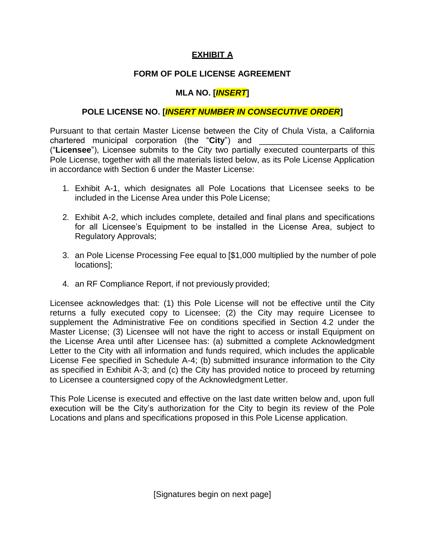#### **EXHIBIT A**

#### **FORM OF POLE LICENSE AGREEMENT**

## **MLA NO. [***INSERT***]**

#### <span id="page-59-0"></span>**POLE LICENSE NO. [***INSERT NUMBER IN CONSECUTIVE ORDER***]**

Pursuant to that certain Master License between the City of Chula Vista, a California chartered municipal corporation (the "City") and ("**Licensee**"), Licensee submits to the City two partially executed counterparts of this Pole License, together with all the materials listed below, as its Pole License Application in accordance with Section 6 under the Master License:

- 1. Exhibit A-1, which designates all Pole Locations that Licensee seeks to be included in the License Area under this Pole License;
- 2. Exhibit A-2, which includes complete, detailed and final plans and specifications for all Licensee's Equipment to be installed in the License Area, subject to Regulatory Approvals;
- 3. an Pole License Processing Fee equal to [\$1,000 multiplied by the number of pole locations];
- 4. an RF Compliance Report, if not previously provided;

Licensee acknowledges that: (1) this Pole License will not be effective until the City returns a fully executed copy to Licensee; (2) the City may require Licensee to supplement the Administrative Fee on conditions specified in Section 4.2 under the Master License; (3) Licensee will not have the right to access or install Equipment on the License Area until after Licensee has: (a) submitted a complete Acknowledgment Letter to the City with all information and funds required, which includes the applicable License Fee specified in Schedule A-4; (b) submitted insurance information to the City as specified in Exhibit A-3; and (c) the City has provided notice to proceed by returning to Licensee a countersigned copy of the Acknowledgment Letter.

This Pole License is executed and effective on the last date written below and, upon full execution will be the City's authorization for the City to begin its review of the Pole Locations and plans and specifications proposed in this Pole License application.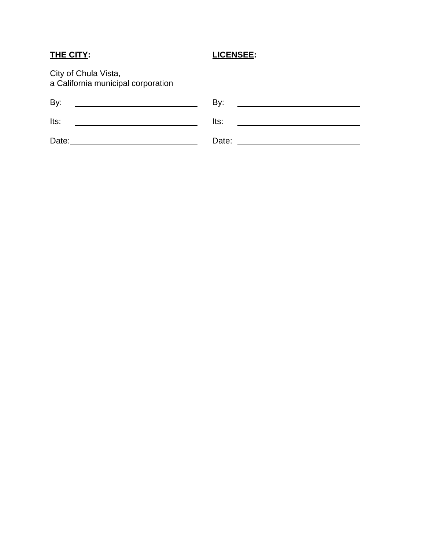# **THE CITY: LICENSEE:**

City of Chula Vista, a California municipal corporation

| By:   | By:   |
|-------|-------|
| Its:  | Its:  |
| Date: | Date: |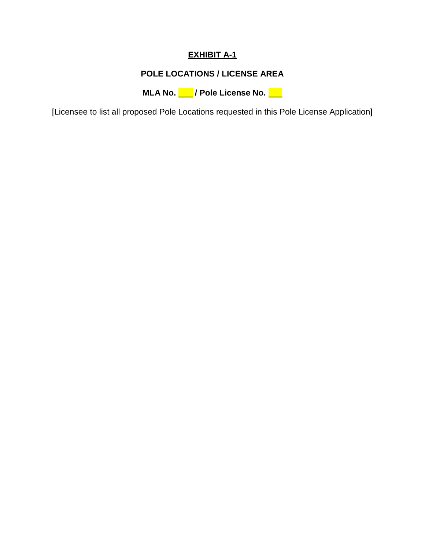# **EXHIBIT A-1**

# **POLE LOCATIONS / LICENSE AREA**

**MLA No. / Pole License No.**

<span id="page-61-0"></span>[Licensee to list all proposed Pole Locations requested in this Pole License Application]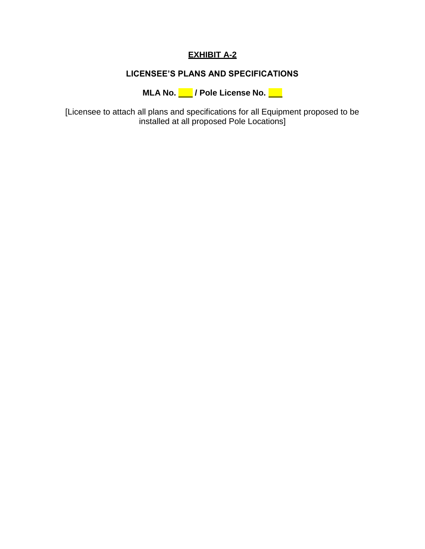# **EXHIBIT A-2**

## **LICENSEE'S PLANS AND SPECIFICATIONS**

**MLA No. / Pole License No.**

<span id="page-62-0"></span>[Licensee to attach all plans and specifications for all Equipment proposed to be installed at all proposed Pole Locations]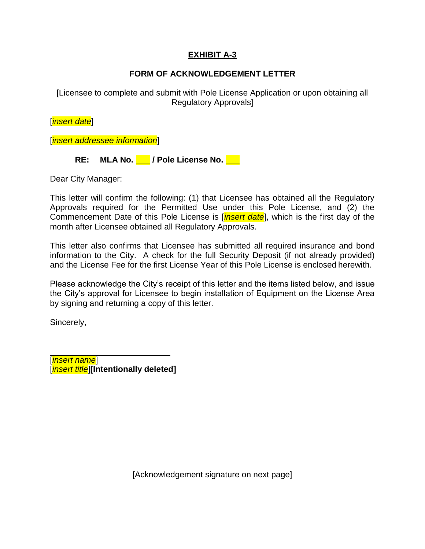#### **EXHIBIT A-3**

#### **FORM OF ACKNOWLEDGEMENT LETTER**

<span id="page-63-0"></span>[Licensee to complete and submit with Pole License Application or upon obtaining all Regulatory Approvals]

[*insert date*]

[*insert addressee information*]

**RE: MLA No. / Pole License No.**

Dear City Manager:

This letter will confirm the following: (1) that Licensee has obtained all the Regulatory Approvals required for the Permitted Use under this Pole License, and (2) the Commencement Date of this Pole License is [*insert date*], which is the first day of the month after Licensee obtained all Regulatory Approvals.

This letter also confirms that Licensee has submitted all required insurance and bond information to the City. A check for the full Security Deposit (if not already provided) and the License Fee for the first License Year of this Pole License is enclosed herewith.

Please acknowledge the City's receipt of this letter and the items listed below, and issue the City's approval for Licensee to begin installation of Equipment on the License Area by signing and returning a copy of this letter.

Sincerely,

[*insert name*] [*insert title*]**[Intentionally deleted]**

[Acknowledgement signature on next page]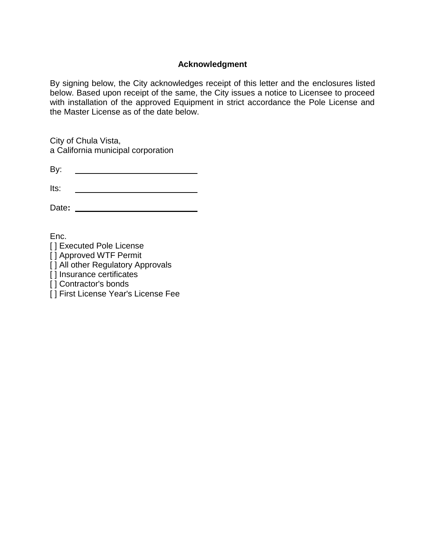#### **Acknowledgment**

By signing below, the City acknowledges receipt of this letter and the enclosures listed below. Based upon receipt of the same, the City issues a notice to Licensee to proceed with installation of the approved Equipment in strict accordance the Pole License and the Master License as of the date below.

City of Chula Vista, a California municipal corporation

Its: <u> 1989 - Johann Barbara, martin a</u>

Date**:** 

Enc.

- [] Executed Pole License
- [ ] Approved WTF Permit
- [ ] All other Regulatory Approvals
- [] Insurance certificates
- [] Contractor's bonds
- [] First License Year's License Fee